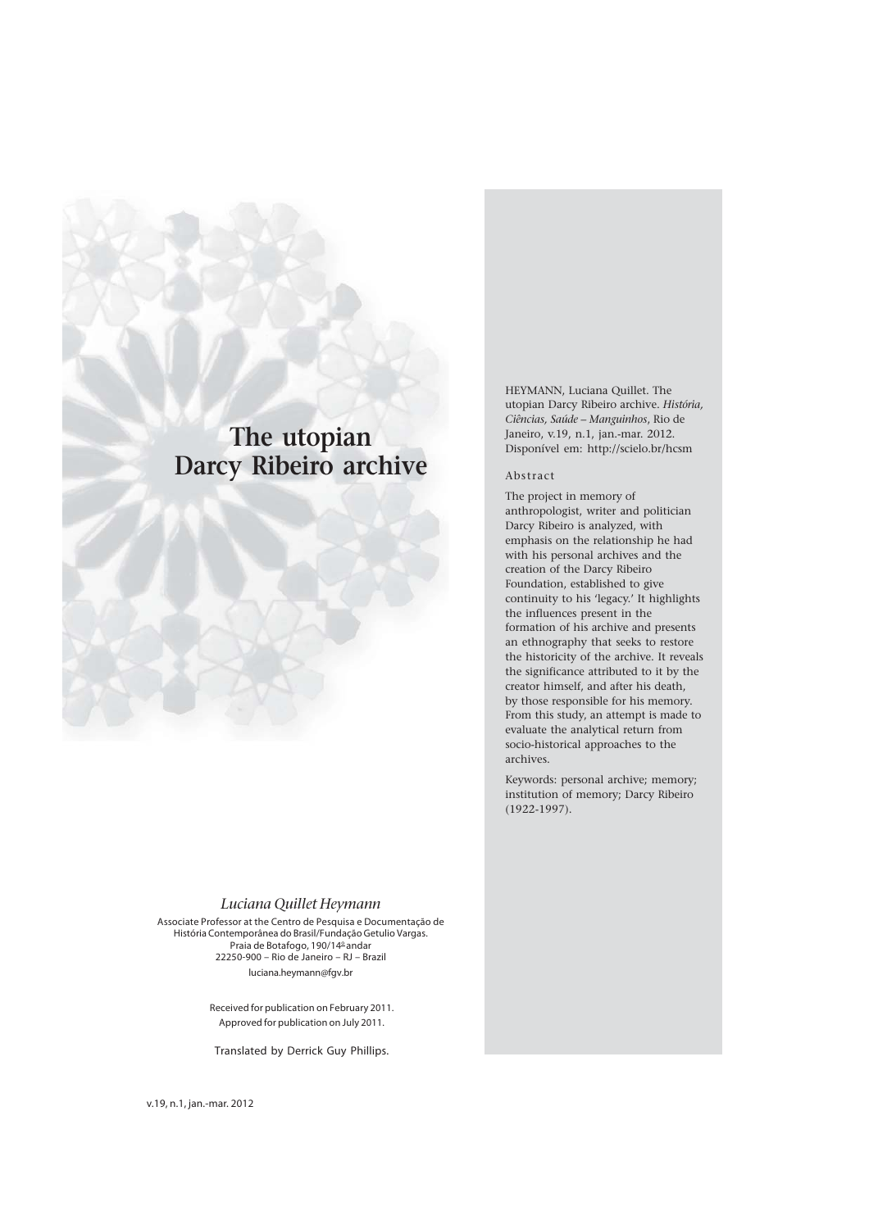# **The utopian Darcy Ribeiro archive**

# *Luciana Quillet Heymann*

Associate Professor at the Centro de Pesquisa e Documentação de História Contemporânea do Brasil/Fundação Getulio Vargas. Praia de Botafogo, 190/14º andar 22250-900 – Rio de Janeiro – RJ – Brazil luciana.heymann@fgv.br

> Received for publication on February 2011. Approved for publication on July 2011.

Translated by Derrick Guy Phillips.

HEYMANN, Luciana Quillet. The utopian Darcy Ribeiro archive. *História, Ciências, Saúde – Manguinhos*, Rio de Janeiro, v.19, n.1, jan.-mar. 2012. Disponível em: http://scielo.br/hcsm

#### Abstract

The project in memory of anthropologist, writer and politician Darcy Ribeiro is analyzed, with emphasis on the relationship he had with his personal archives and the creation of the Darcy Ribeiro Foundation, established to give continuity to his 'legacy.' It highlights the influences present in the formation of his archive and presents an ethnography that seeks to restore the historicity of the archive. It reveals the significance attributed to it by the creator himself, and after his death, by those responsible for his memory. From this study, an attempt is made to evaluate the analytical return from socio-historical approaches to the archives.

Keywords: personal archive; memory; institution of memory; Darcy Ribeiro (1922-1997).

v.19, n.1, jan.-mar. 2012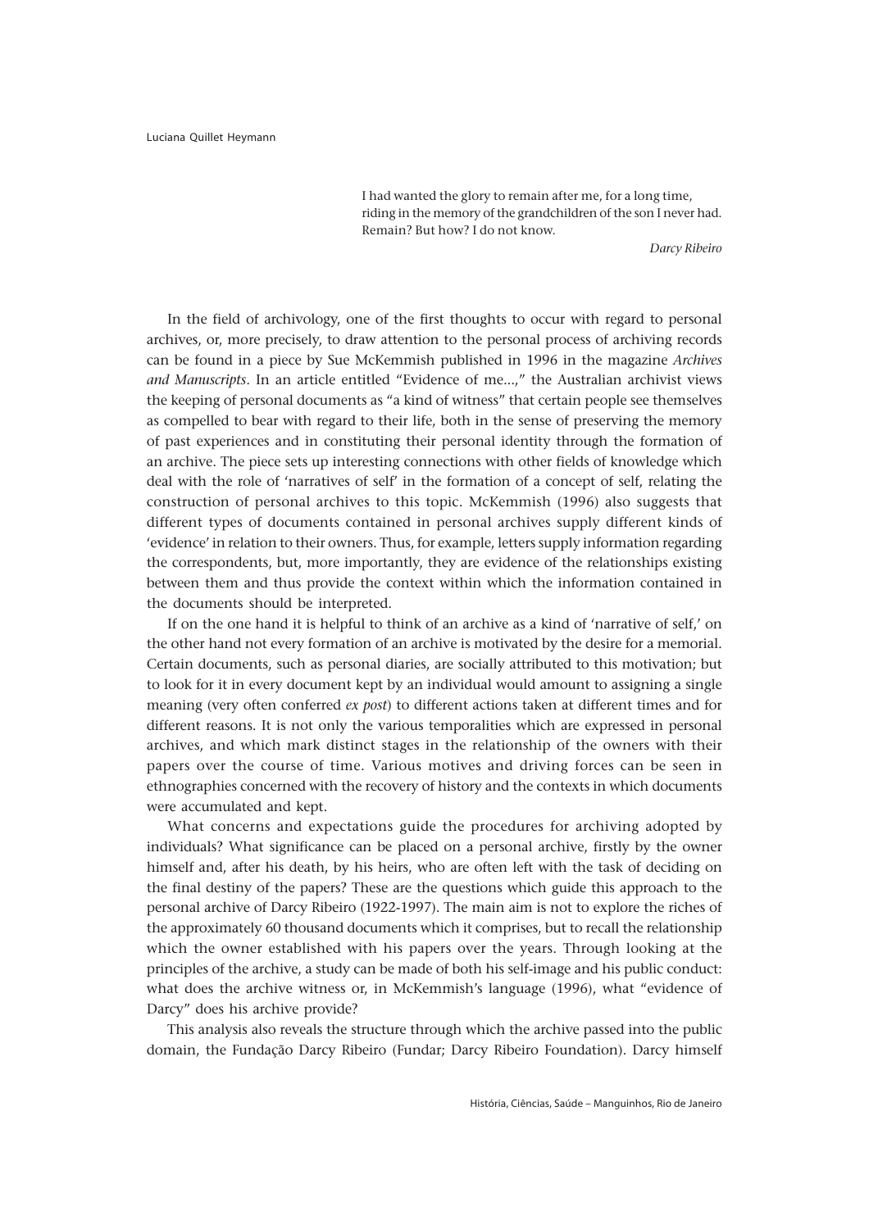I had wanted the glory to remain after me, for a long time, riding in the memory of the grandchildren of the son I never had. Remain? But how? I do not know.

*Darcy Ribeiro*

In the field of archivology, one of the first thoughts to occur with regard to personal archives, or, more precisely, to draw attention to the personal process of archiving records can be found in a piece by Sue McKemmish published in 1996 in the magazine *Archives and Manuscripts*. In an article entitled "Evidence of me...," the Australian archivist views the keeping of personal documents as "a kind of witness" that certain people see themselves as compelled to bear with regard to their life, both in the sense of preserving the memory of past experiences and in constituting their personal identity through the formation of an archive. The piece sets up interesting connections with other fields of knowledge which deal with the role of 'narratives of self' in the formation of a concept of self, relating the construction of personal archives to this topic. McKemmish (1996) also suggests that different types of documents contained in personal archives supply different kinds of 'evidence' in relation to their owners. Thus, for example, letters supply information regarding the correspondents, but, more importantly, they are evidence of the relationships existing between them and thus provide the context within which the information contained in the documents should be interpreted.

If on the one hand it is helpful to think of an archive as a kind of 'narrative of self,' on the other hand not every formation of an archive is motivated by the desire for a memorial. Certain documents, such as personal diaries, are socially attributed to this motivation; but to look for it in every document kept by an individual would amount to assigning a single meaning (very often conferred *ex post*) to different actions taken at different times and for different reasons. It is not only the various temporalities which are expressed in personal archives, and which mark distinct stages in the relationship of the owners with their papers over the course of time. Various motives and driving forces can be seen in ethnographies concerned with the recovery of history and the contexts in which documents were accumulated and kept.

What concerns and expectations guide the procedures for archiving adopted by individuals? What significance can be placed on a personal archive, firstly by the owner himself and, after his death, by his heirs, who are often left with the task of deciding on the final destiny of the papers? These are the questions which guide this approach to the personal archive of Darcy Ribeiro (1922-1997). The main aim is not to explore the riches of the approximately 60 thousand documents which it comprises, but to recall the relationship which the owner established with his papers over the years. Through looking at the principles of the archive, a study can be made of both his self-image and his public conduct: what does the archive witness or, in McKemmish's language (1996), what "evidence of Darcy" does his archive provide?

This analysis also reveals the structure through which the archive passed into the public domain, the Fundação Darcy Ribeiro (Fundar; Darcy Ribeiro Foundation). Darcy himself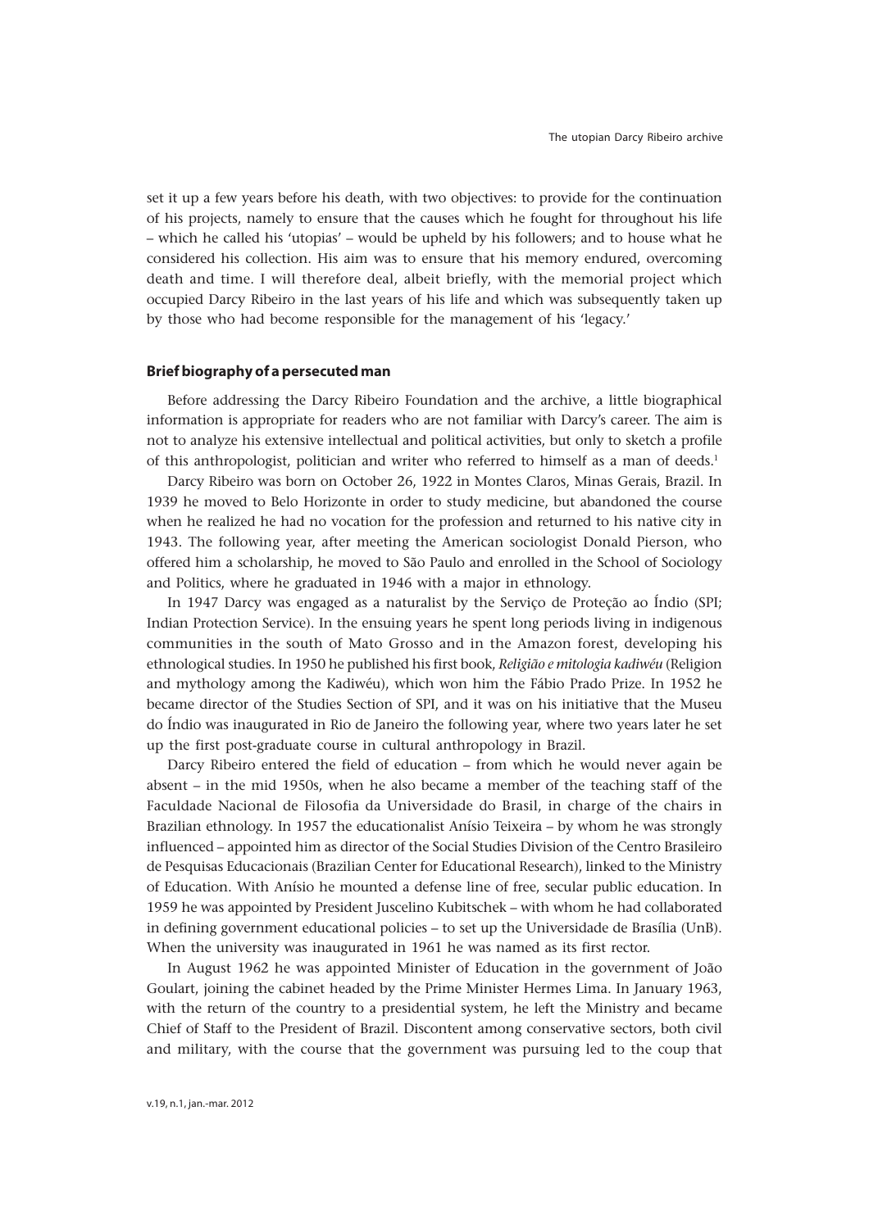set it up a few years before his death, with two objectives: to provide for the continuation of his projects, namely to ensure that the causes which he fought for throughout his life – which he called his 'utopias' – would be upheld by his followers; and to house what he considered his collection. His aim was to ensure that his memory endured, overcoming death and time. I will therefore deal, albeit briefly, with the memorial project which occupied Darcy Ribeiro in the last years of his life and which was subsequently taken up by those who had become responsible for the management of his 'legacy.'

#### **Brief biography of a persecuted man**

Before addressing the Darcy Ribeiro Foundation and the archive, a little biographical information is appropriate for readers who are not familiar with Darcy's career. The aim is not to analyze his extensive intellectual and political activities, but only to sketch a profile of this anthropologist, politician and writer who referred to himself as a man of deeds.1

Darcy Ribeiro was born on October 26, 1922 in Montes Claros, Minas Gerais, Brazil. In 1939 he moved to Belo Horizonte in order to study medicine, but abandoned the course when he realized he had no vocation for the profession and returned to his native city in 1943. The following year, after meeting the American sociologist Donald Pierson, who offered him a scholarship, he moved to São Paulo and enrolled in the School of Sociology and Politics, where he graduated in 1946 with a major in ethnology.

In 1947 Darcy was engaged as a naturalist by the Serviço de Proteção ao Índio (SPI; Indian Protection Service). In the ensuing years he spent long periods living in indigenous communities in the south of Mato Grosso and in the Amazon forest, developing his ethnological studies. In 1950 he published his first book, *Religião e mitologia kadiwéu* (Religion and mythology among the Kadiwéu), which won him the Fábio Prado Prize. In 1952 he became director of the Studies Section of SPI, and it was on his initiative that the Museu do Índio was inaugurated in Rio de Janeiro the following year, where two years later he set up the first post-graduate course in cultural anthropology in Brazil.

Darcy Ribeiro entered the field of education – from which he would never again be absent – in the mid 1950s, when he also became a member of the teaching staff of the Faculdade Nacional de Filosofia da Universidade do Brasil, in charge of the chairs in Brazilian ethnology. In 1957 the educationalist Anísio Teixeira – by whom he was strongly influenced – appointed him as director of the Social Studies Division of the Centro Brasileiro de Pesquisas Educacionais (Brazilian Center for Educational Research), linked to the Ministry of Education. With Anísio he mounted a defense line of free, secular public education. In 1959 he was appointed by President Juscelino Kubitschek – with whom he had collaborated in defining government educational policies – to set up the Universidade de Brasília (UnB). When the university was inaugurated in 1961 he was named as its first rector.

In August 1962 he was appointed Minister of Education in the government of João Goulart, joining the cabinet headed by the Prime Minister Hermes Lima. In January 1963, with the return of the country to a presidential system, he left the Ministry and became Chief of Staff to the President of Brazil. Discontent among conservative sectors, both civil and military, with the course that the government was pursuing led to the coup that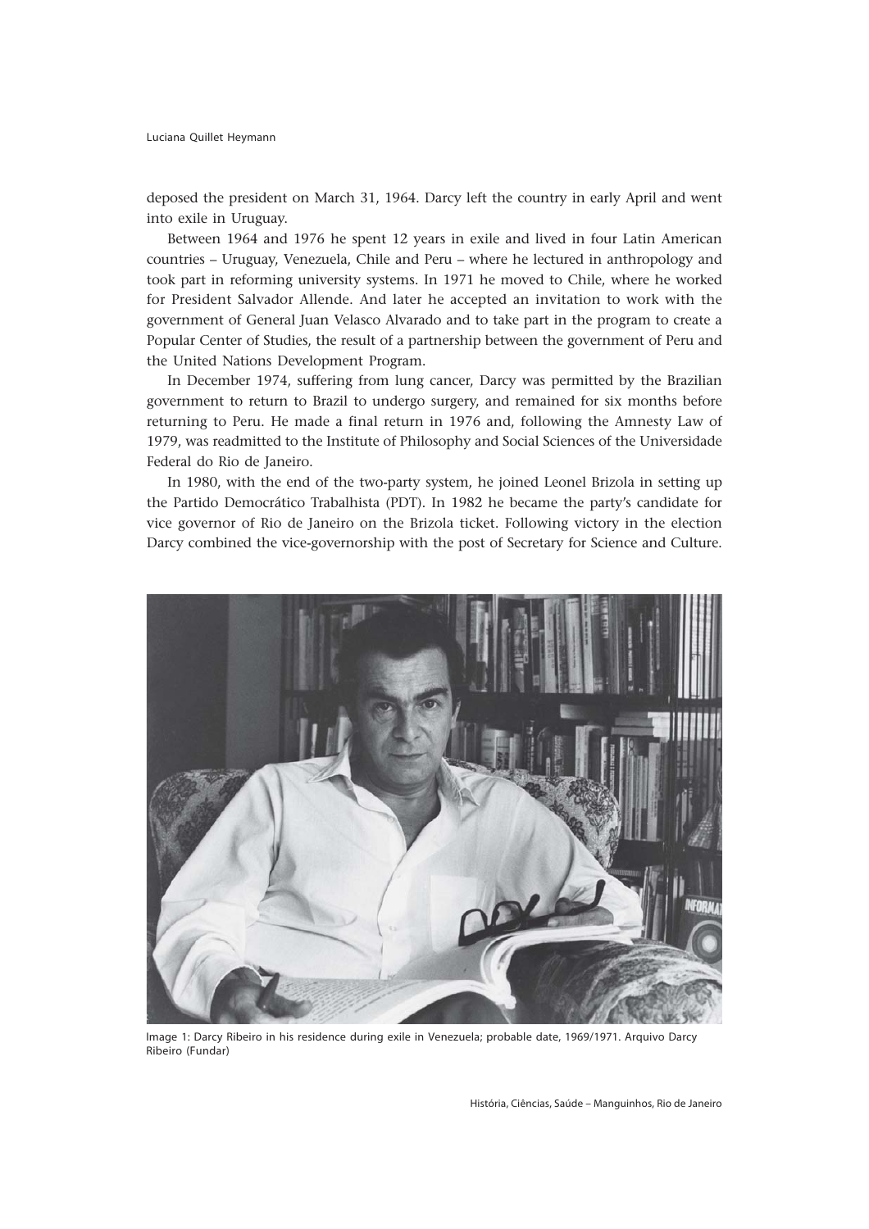deposed the president on March 31, 1964. Darcy left the country in early April and went into exile in Uruguay.

Between 1964 and 1976 he spent 12 years in exile and lived in four Latin American countries – Uruguay, Venezuela, Chile and Peru – where he lectured in anthropology and took part in reforming university systems. In 1971 he moved to Chile, where he worked for President Salvador Allende. And later he accepted an invitation to work with the government of General Juan Velasco Alvarado and to take part in the program to create a Popular Center of Studies, the result of a partnership between the government of Peru and the United Nations Development Program.

In December 1974, suffering from lung cancer, Darcy was permitted by the Brazilian government to return to Brazil to undergo surgery, and remained for six months before returning to Peru. He made a final return in 1976 and, following the Amnesty Law of 1979, was readmitted to the Institute of Philosophy and Social Sciences of the Universidade Federal do Rio de Janeiro.

In 1980, with the end of the two-party system, he joined Leonel Brizola in setting up the Partido Democrático Trabalhista (PDT). In 1982 he became the party's candidate for vice governor of Rio de Janeiro on the Brizola ticket. Following victory in the election Darcy combined the vice-governorship with the post of Secretary for Science and Culture.



Image 1: Darcy Ribeiro in his residence during exile in Venezuela; probable date, 1969/1971. Arquivo Darcy Ribeiro (Fundar)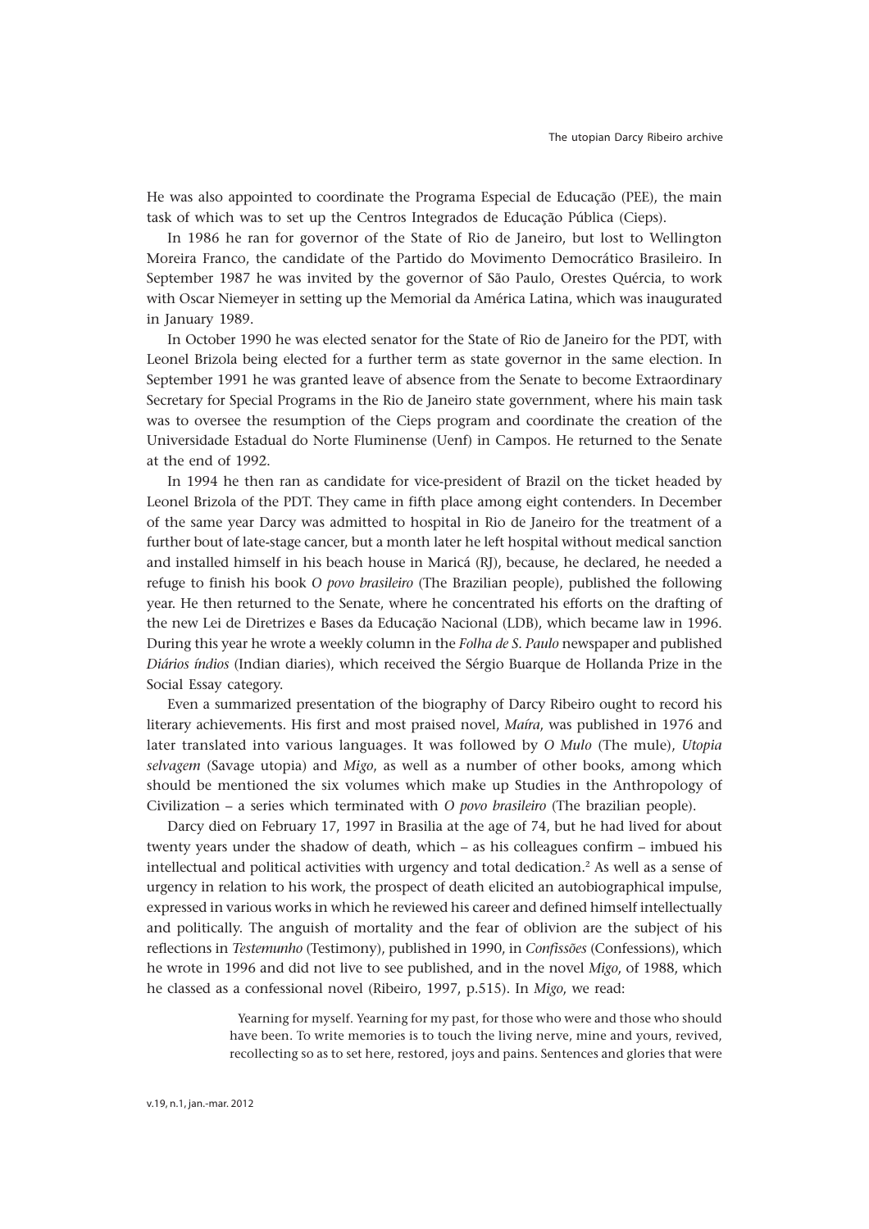He was also appointed to coordinate the Programa Especial de Educação (PEE), the main task of which was to set up the Centros Integrados de Educação Pública (Cieps).

In 1986 he ran for governor of the State of Rio de Janeiro, but lost to Wellington Moreira Franco, the candidate of the Partido do Movimento Democrático Brasileiro. In September 1987 he was invited by the governor of São Paulo, Orestes Quércia, to work with Oscar Niemeyer in setting up the Memorial da América Latina, which was inaugurated in January 1989.

In October 1990 he was elected senator for the State of Rio de Janeiro for the PDT, with Leonel Brizola being elected for a further term as state governor in the same election. In September 1991 he was granted leave of absence from the Senate to become Extraordinary Secretary for Special Programs in the Rio de Janeiro state government, where his main task was to oversee the resumption of the Cieps program and coordinate the creation of the Universidade Estadual do Norte Fluminense (Uenf) in Campos. He returned to the Senate at the end of 1992.

In 1994 he then ran as candidate for vice-president of Brazil on the ticket headed by Leonel Brizola of the PDT. They came in fifth place among eight contenders. In December of the same year Darcy was admitted to hospital in Rio de Janeiro for the treatment of a further bout of late-stage cancer, but a month later he left hospital without medical sanction and installed himself in his beach house in Maricá (RJ), because, he declared, he needed a refuge to finish his book *O povo brasileiro* (The Brazilian people), published the following year. He then returned to the Senate, where he concentrated his efforts on the drafting of the new Lei de Diretrizes e Bases da Educação Nacional (LDB), which became law in 1996. During this year he wrote a weekly column in the *Folha de S. Paulo* newspaper and published *Diários índios* (Indian diaries), which received the Sérgio Buarque de Hollanda Prize in the Social Essay category.

Even a summarized presentation of the biography of Darcy Ribeiro ought to record his literary achievements. His first and most praised novel, *Maíra*, was published in 1976 and later translated into various languages. It was followed by *O Mulo* (The mule), *Utopia selvagem* (Savage utopia) and *Migo*, as well as a number of other books, among which should be mentioned the six volumes which make up Studies in the Anthropology of Civilization – a series which terminated with *O povo brasileiro* (The brazilian people).

Darcy died on February 17, 1997 in Brasilia at the age of 74, but he had lived for about twenty years under the shadow of death, which – as his colleagues confirm – imbued his intellectual and political activities with urgency and total dedication.2 As well as a sense of urgency in relation to his work, the prospect of death elicited an autobiographical impulse, expressed in various works in which he reviewed his career and defined himself intellectually and politically. The anguish of mortality and the fear of oblivion are the subject of his reflections in *Testemunho* (Testimony), published in 1990, in *Confissões* (Confessions), which he wrote in 1996 and did not live to see published, and in the novel *Migo*, of 1988, which he classed as a confessional novel (Ribeiro, 1997, p.515). In *Migo*, we read:

> Yearning for myself. Yearning for my past, for those who were and those who should have been. To write memories is to touch the living nerve, mine and yours, revived, recollecting so as to set here, restored, joys and pains. Sentences and glories that were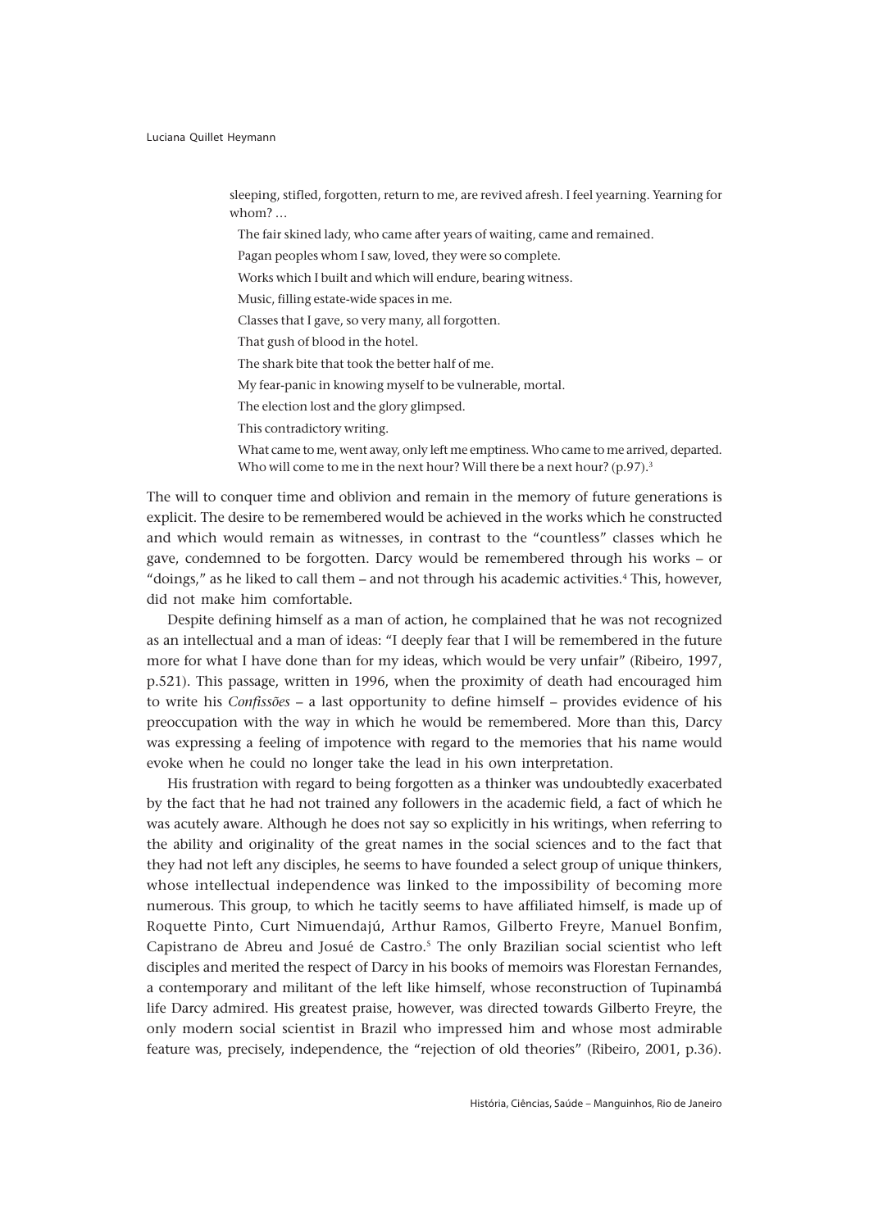sleeping, stifled, forgotten, return to me, are revived afresh. I feel yearning. Yearning for whom? …

The fair skined lady, who came after years of waiting, came and remained.

Pagan peoples whom I saw, loved, they were so complete.

Works which I built and which will endure, bearing witness.

Music, filling estate-wide spaces in me.

Classes that I gave, so very many, all forgotten.

That gush of blood in the hotel.

The shark bite that took the better half of me.

My fear-panic in knowing myself to be vulnerable, mortal.

The election lost and the glory glimpsed.

This contradictory writing.

What came to me, went away, only left me emptiness. Who came to me arrived, departed. Who will come to me in the next hour? Will there be a next hour? (p.97).<sup>3</sup>

The will to conquer time and oblivion and remain in the memory of future generations is explicit. The desire to be remembered would be achieved in the works which he constructed and which would remain as witnesses, in contrast to the "countless" classes which he gave, condemned to be forgotten. Darcy would be remembered through his works – or "doings," as he liked to call them – and not through his academic activities.4 This, however, did not make him comfortable.

Despite defining himself as a man of action, he complained that he was not recognized as an intellectual and a man of ideas: "I deeply fear that I will be remembered in the future more for what I have done than for my ideas, which would be very unfair" (Ribeiro, 1997, p.521). This passage, written in 1996, when the proximity of death had encouraged him to write his *Confissões* – a last opportunity to define himself – provides evidence of his preoccupation with the way in which he would be remembered. More than this, Darcy was expressing a feeling of impotence with regard to the memories that his name would evoke when he could no longer take the lead in his own interpretation.

His frustration with regard to being forgotten as a thinker was undoubtedly exacerbated by the fact that he had not trained any followers in the academic field, a fact of which he was acutely aware. Although he does not say so explicitly in his writings, when referring to the ability and originality of the great names in the social sciences and to the fact that they had not left any disciples, he seems to have founded a select group of unique thinkers, whose intellectual independence was linked to the impossibility of becoming more numerous. This group, to which he tacitly seems to have affiliated himself, is made up of Roquette Pinto, Curt Nimuendajú, Arthur Ramos, Gilberto Freyre, Manuel Bonfim, Capistrano de Abreu and Josué de Castro.5 The only Brazilian social scientist who left disciples and merited the respect of Darcy in his books of memoirs was Florestan Fernandes, a contemporary and militant of the left like himself, whose reconstruction of Tupinambá life Darcy admired. His greatest praise, however, was directed towards Gilberto Freyre, the only modern social scientist in Brazil who impressed him and whose most admirable feature was, precisely, independence, the "rejection of old theories" (Ribeiro, 2001, p.36).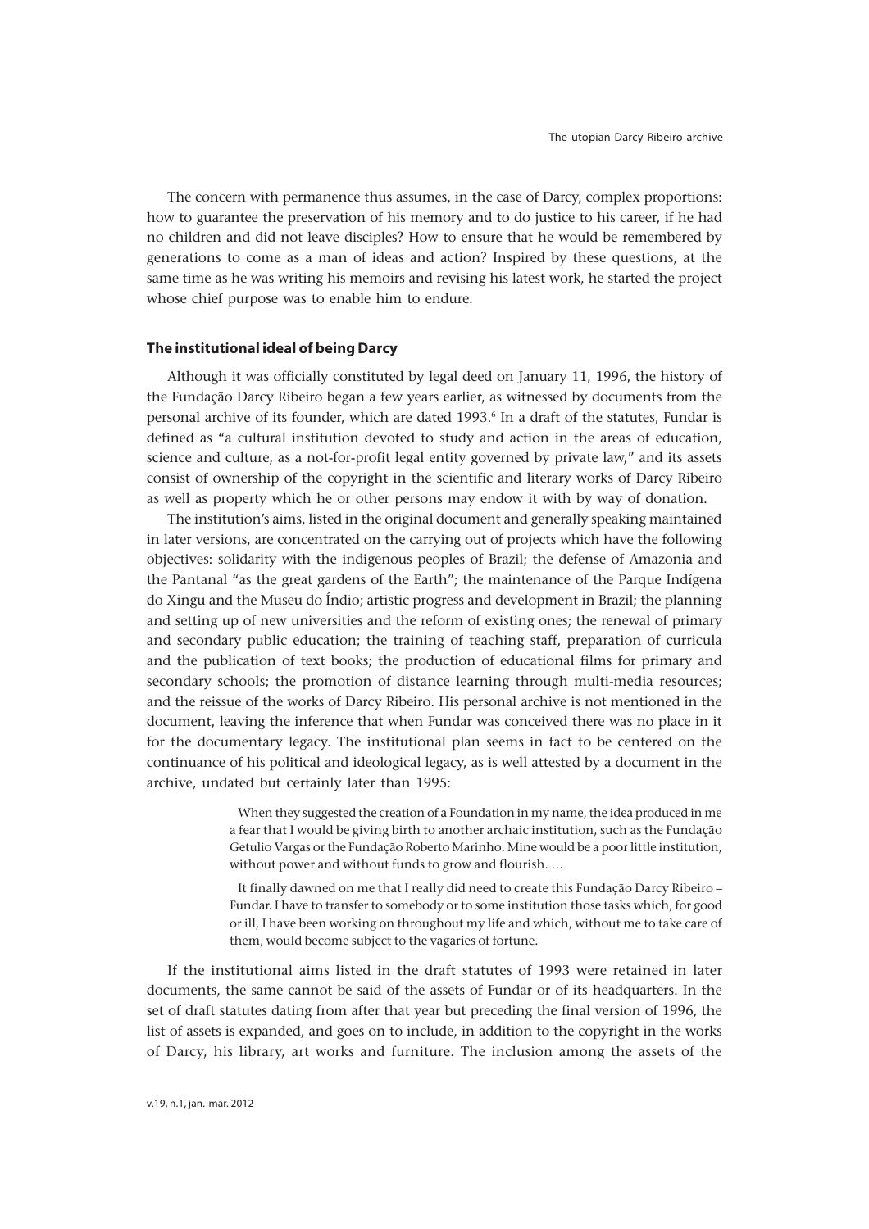The concern with permanence thus assumes, in the case of Darcy, complex proportions: how to guarantee the preservation of his memory and to do justice to his career, if he had no children and did not leave disciples? How to ensure that he would be remembered by generations to come as a man of ideas and action? Inspired by these questions, at the same time as he was writing his memoirs and revising his latest work, he started the project whose chief purpose was to enable him to endure.

# **The institutional ideal of being Darcy**

Although it was officially constituted by legal deed on January 11, 1996, the history of the Fundação Darcy Ribeiro began a few years earlier, as witnessed by documents from the personal archive of its founder, which are dated 1993.<sup>6</sup> In a draft of the statutes, Fundar is defined as "a cultural institution devoted to study and action in the areas of education, science and culture, as a not-for-profit legal entity governed by private law," and its assets consist of ownership of the copyright in the scientific and literary works of Darcy Ribeiro as well as property which he or other persons may endow it with by way of donation.

The institution's aims, listed in the original document and generally speaking maintained in later versions, are concentrated on the carrying out of projects which have the following objectives: solidarity with the indigenous peoples of Brazil; the defense of Amazonia and the Pantanal "as the great gardens of the Earth"; the maintenance of the Parque Indígena do Xingu and the Museu do Índio; artistic progress and development in Brazil; the planning and setting up of new universities and the reform of existing ones; the renewal of primary and secondary public education; the training of teaching staff, preparation of curricula and the publication of text books; the production of educational films for primary and secondary schools; the promotion of distance learning through multi-media resources; and the reissue of the works of Darcy Ribeiro. His personal archive is not mentioned in the document, leaving the inference that when Fundar was conceived there was no place in it for the documentary legacy. The institutional plan seems in fact to be centered on the continuance of his political and ideological legacy, as is well attested by a document in the archive, undated but certainly later than 1995:

> When they suggested the creation of a Foundation in my name, the idea produced in me a fear that I would be giving birth to another archaic institution, such as the Fundação Getulio Vargas or the Fundação Roberto Marinho. Mine would be a poor little institution, without power and without funds to grow and flourish. …

> It finally dawned on me that I really did need to create this Fundação Darcy Ribeiro – Fundar. I have to transfer to somebody or to some institution those tasks which, for good or ill, I have been working on throughout my life and which, without me to take care of them, would become subject to the vagaries of fortune.

If the institutional aims listed in the draft statutes of 1993 were retained in later documents, the same cannot be said of the assets of Fundar or of its headquarters. In the set of draft statutes dating from after that year but preceding the final version of 1996, the list of assets is expanded, and goes on to include, in addition to the copyright in the works of Darcy, his library, art works and furniture. The inclusion among the assets of the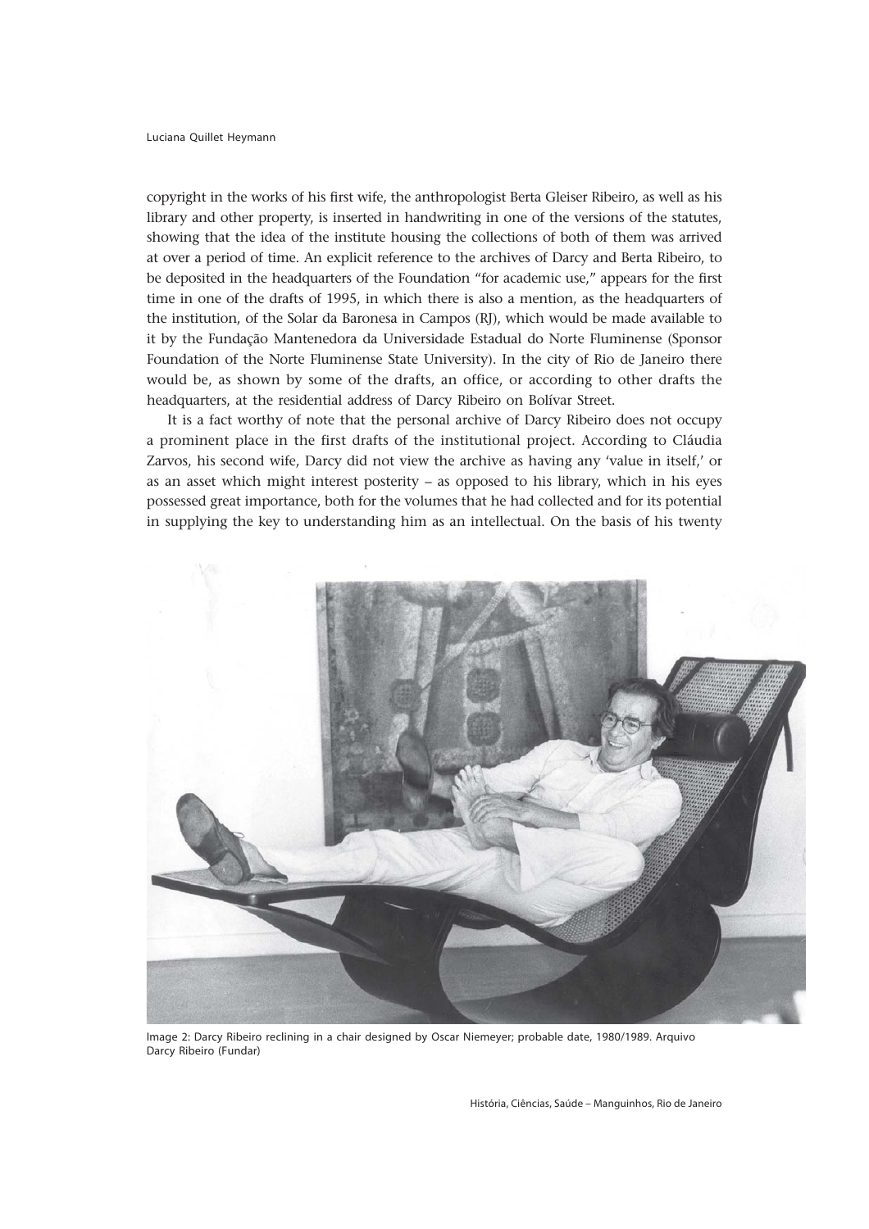copyright in the works of his first wife, the anthropologist Berta Gleiser Ribeiro, as well as his library and other property, is inserted in handwriting in one of the versions of the statutes, showing that the idea of the institute housing the collections of both of them was arrived at over a period of time. An explicit reference to the archives of Darcy and Berta Ribeiro, to be deposited in the headquarters of the Foundation "for academic use," appears for the first time in one of the drafts of 1995, in which there is also a mention, as the headquarters of the institution, of the Solar da Baronesa in Campos (RJ), which would be made available to it by the Fundação Mantenedora da Universidade Estadual do Norte Fluminense (Sponsor Foundation of the Norte Fluminense State University). In the city of Rio de Janeiro there would be, as shown by some of the drafts, an office, or according to other drafts the headquarters, at the residential address of Darcy Ribeiro on Bolívar Street.

It is a fact worthy of note that the personal archive of Darcy Ribeiro does not occupy a prominent place in the first drafts of the institutional project. According to Cláudia Zarvos, his second wife, Darcy did not view the archive as having any 'value in itself,' or as an asset which might interest posterity – as opposed to his library, which in his eyes possessed great importance, both for the volumes that he had collected and for its potential in supplying the key to understanding him as an intellectual. On the basis of his twenty



Image 2: Darcy Ribeiro reclining in a chair designed by Oscar Niemeyer; probable date, 1980/1989. Arquivo Darcy Ribeiro (Fundar)

História, Ciências, Saúde – Manguinhos, Rio de Janeiro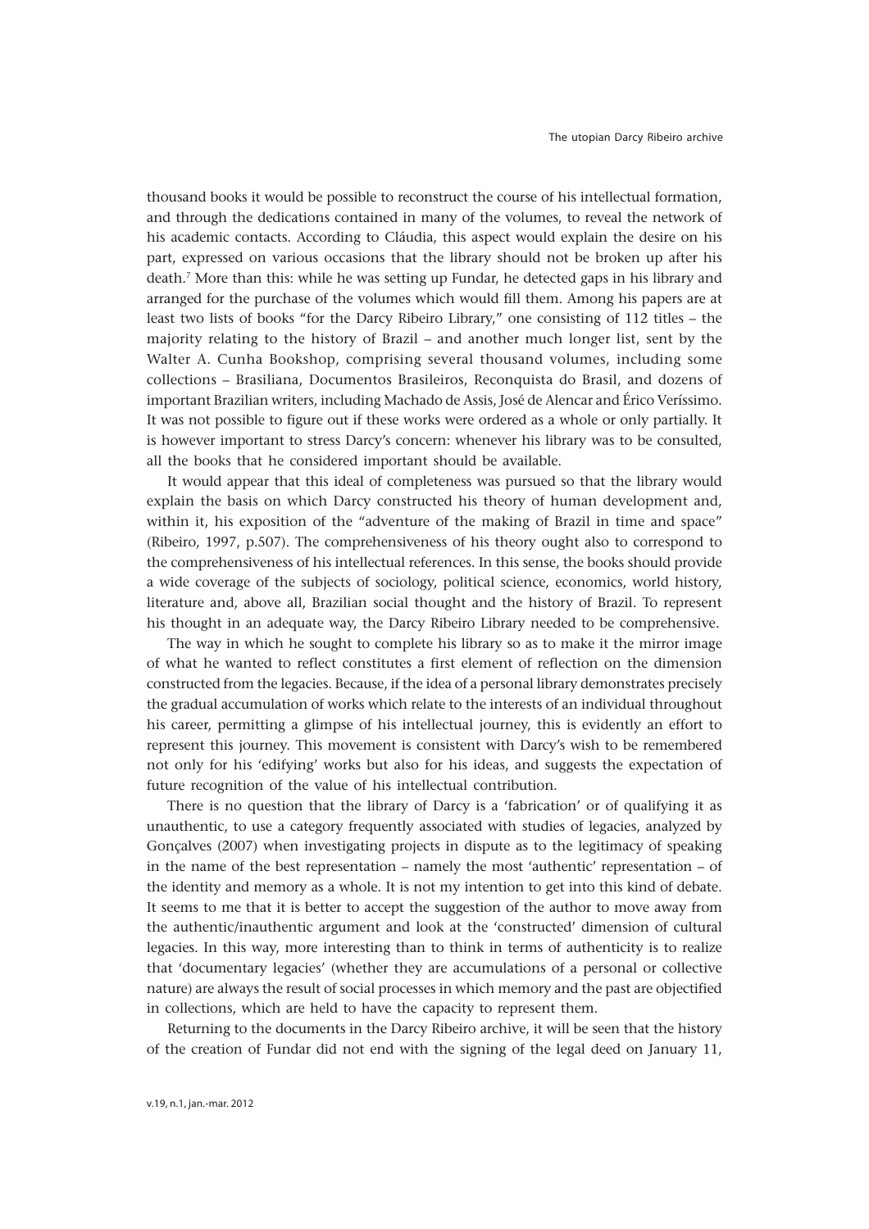thousand books it would be possible to reconstruct the course of his intellectual formation, and through the dedications contained in many of the volumes, to reveal the network of his academic contacts. According to Cláudia, this aspect would explain the desire on his part, expressed on various occasions that the library should not be broken up after his death.7 More than this: while he was setting up Fundar, he detected gaps in his library and arranged for the purchase of the volumes which would fill them. Among his papers are at least two lists of books "for the Darcy Ribeiro Library," one consisting of 112 titles – the majority relating to the history of Brazil – and another much longer list, sent by the Walter A. Cunha Bookshop, comprising several thousand volumes, including some collections – Brasiliana, Documentos Brasileiros, Reconquista do Brasil, and dozens of important Brazilian writers, including Machado de Assis, José de Alencar and Érico Veríssimo. It was not possible to figure out if these works were ordered as a whole or only partially. It is however important to stress Darcy's concern: whenever his library was to be consulted, all the books that he considered important should be available.

It would appear that this ideal of completeness was pursued so that the library would explain the basis on which Darcy constructed his theory of human development and, within it, his exposition of the "adventure of the making of Brazil in time and space" (Ribeiro, 1997, p.507). The comprehensiveness of his theory ought also to correspond to the comprehensiveness of his intellectual references. In this sense, the books should provide a wide coverage of the subjects of sociology, political science, economics, world history, literature and, above all, Brazilian social thought and the history of Brazil. To represent his thought in an adequate way, the Darcy Ribeiro Library needed to be comprehensive.

The way in which he sought to complete his library so as to make it the mirror image of what he wanted to reflect constitutes a first element of reflection on the dimension constructed from the legacies. Because, if the idea of a personal library demonstrates precisely the gradual accumulation of works which relate to the interests of an individual throughout his career, permitting a glimpse of his intellectual journey, this is evidently an effort to represent this journey. This movement is consistent with Darcy's wish to be remembered not only for his 'edifying' works but also for his ideas, and suggests the expectation of future recognition of the value of his intellectual contribution.

There is no question that the library of Darcy is a 'fabrication' or of qualifying it as unauthentic, to use a category frequently associated with studies of legacies, analyzed by Gonçalves (2007) when investigating projects in dispute as to the legitimacy of speaking in the name of the best representation – namely the most 'authentic' representation – of the identity and memory as a whole. It is not my intention to get into this kind of debate. It seems to me that it is better to accept the suggestion of the author to move away from the authentic/inauthentic argument and look at the 'constructed' dimension of cultural legacies. In this way, more interesting than to think in terms of authenticity is to realize that 'documentary legacies' (whether they are accumulations of a personal or collective nature) are always the result of social processes in which memory and the past are objectified in collections, which are held to have the capacity to represent them.

Returning to the documents in the Darcy Ribeiro archive, it will be seen that the history of the creation of Fundar did not end with the signing of the legal deed on January 11,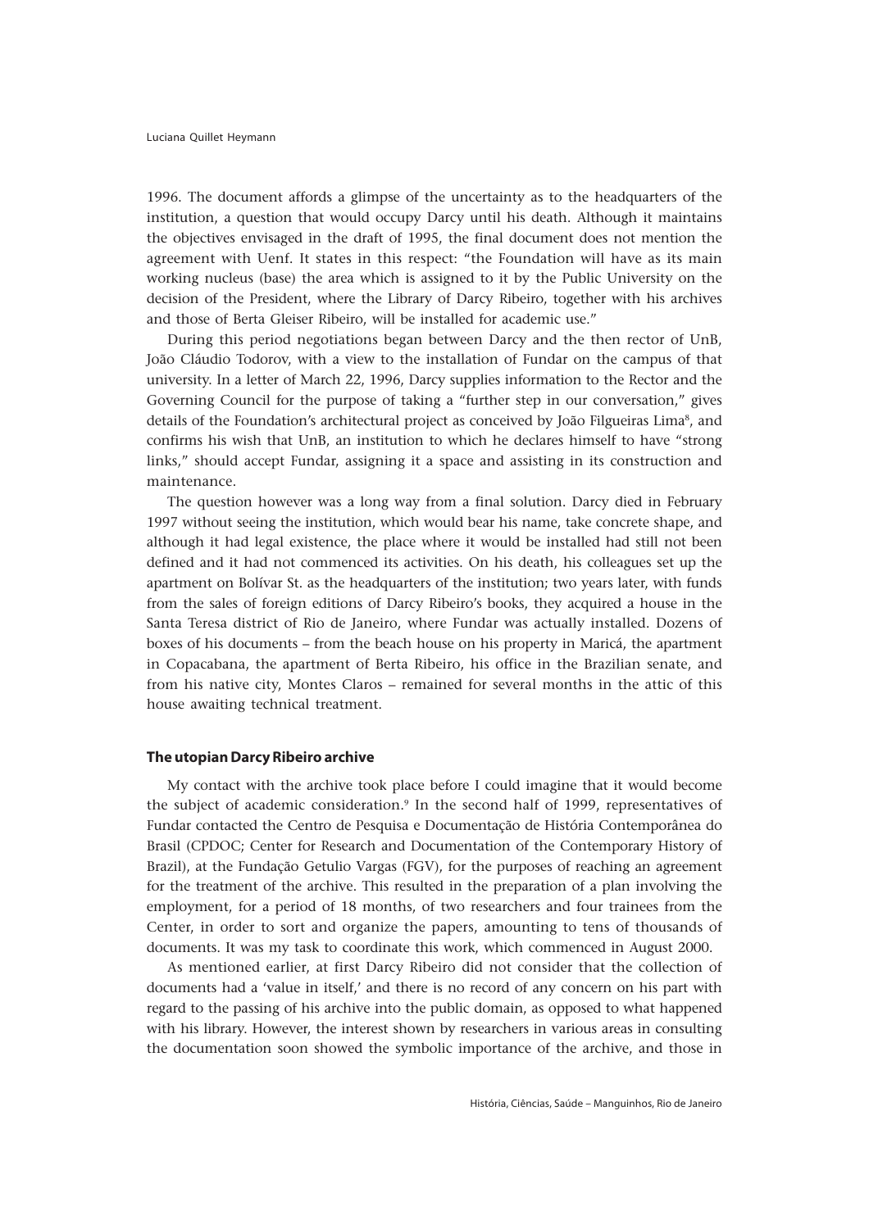1996. The document affords a glimpse of the uncertainty as to the headquarters of the institution, a question that would occupy Darcy until his death. Although it maintains the objectives envisaged in the draft of 1995, the final document does not mention the agreement with Uenf. It states in this respect: "the Foundation will have as its main working nucleus (base) the area which is assigned to it by the Public University on the decision of the President, where the Library of Darcy Ribeiro, together with his archives and those of Berta Gleiser Ribeiro, will be installed for academic use."

During this period negotiations began between Darcy and the then rector of UnB, João Cláudio Todorov, with a view to the installation of Fundar on the campus of that university. In a letter of March 22, 1996, Darcy supplies information to the Rector and the Governing Council for the purpose of taking a "further step in our conversation," gives details of the Foundation's architectural project as conceived by João Filgueiras Lima<sup>8</sup>, and confirms his wish that UnB, an institution to which he declares himself to have "strong links," should accept Fundar, assigning it a space and assisting in its construction and maintenance.

The question however was a long way from a final solution. Darcy died in February 1997 without seeing the institution, which would bear his name, take concrete shape, and although it had legal existence, the place where it would be installed had still not been defined and it had not commenced its activities. On his death, his colleagues set up the apartment on Bolívar St. as the headquarters of the institution; two years later, with funds from the sales of foreign editions of Darcy Ribeiro's books, they acquired a house in the Santa Teresa district of Rio de Janeiro, where Fundar was actually installed. Dozens of boxes of his documents – from the beach house on his property in Maricá, the apartment in Copacabana, the apartment of Berta Ribeiro, his office in the Brazilian senate, and from his native city, Montes Claros – remained for several months in the attic of this house awaiting technical treatment.

## **The utopian Darcy Ribeiro archive**

My contact with the archive took place before I could imagine that it would become the subject of academic consideration.<sup>9</sup> In the second half of 1999, representatives of Fundar contacted the Centro de Pesquisa e Documentação de História Contemporânea do Brasil (CPDOC; Center for Research and Documentation of the Contemporary History of Brazil), at the Fundação Getulio Vargas (FGV), for the purposes of reaching an agreement for the treatment of the archive. This resulted in the preparation of a plan involving the employment, for a period of 18 months, of two researchers and four trainees from the Center, in order to sort and organize the papers, amounting to tens of thousands of documents. It was my task to coordinate this work, which commenced in August 2000.

As mentioned earlier, at first Darcy Ribeiro did not consider that the collection of documents had a 'value in itself,' and there is no record of any concern on his part with regard to the passing of his archive into the public domain, as opposed to what happened with his library. However, the interest shown by researchers in various areas in consulting the documentation soon showed the symbolic importance of the archive, and those in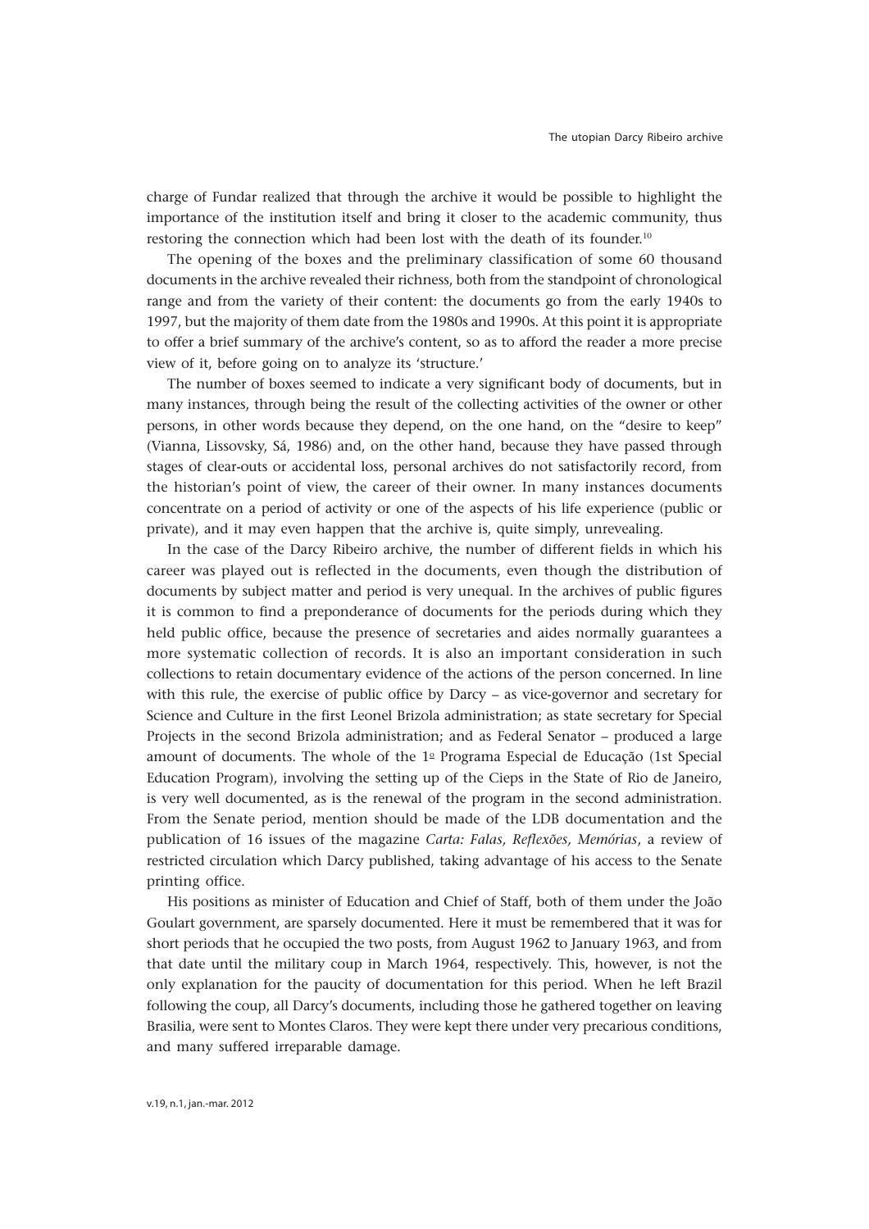charge of Fundar realized that through the archive it would be possible to highlight the importance of the institution itself and bring it closer to the academic community, thus restoring the connection which had been lost with the death of its founder.<sup>10</sup>

The opening of the boxes and the preliminary classification of some 60 thousand documents in the archive revealed their richness, both from the standpoint of chronological range and from the variety of their content: the documents go from the early 1940s to 1997, but the majority of them date from the 1980s and 1990s. At this point it is appropriate to offer a brief summary of the archive's content, so as to afford the reader a more precise view of it, before going on to analyze its 'structure.'

The number of boxes seemed to indicate a very significant body of documents, but in many instances, through being the result of the collecting activities of the owner or other persons, in other words because they depend, on the one hand, on the "desire to keep" (Vianna, Lissovsky, Sá, 1986) and, on the other hand, because they have passed through stages of clear-outs or accidental loss, personal archives do not satisfactorily record, from the historian's point of view, the career of their owner. In many instances documents concentrate on a period of activity or one of the aspects of his life experience (public or private), and it may even happen that the archive is, quite simply, unrevealing.

In the case of the Darcy Ribeiro archive, the number of different fields in which his career was played out is reflected in the documents, even though the distribution of documents by subject matter and period is very unequal. In the archives of public figures it is common to find a preponderance of documents for the periods during which they held public office, because the presence of secretaries and aides normally guarantees a more systematic collection of records. It is also an important consideration in such collections to retain documentary evidence of the actions of the person concerned. In line with this rule, the exercise of public office by Darcy – as vice-governor and secretary for Science and Culture in the first Leonel Brizola administration; as state secretary for Special Projects in the second Brizola administration; and as Federal Senator – produced a large amount of documents. The whole of the 1<sup>°</sup> Programa Especial de Educação (1st Special Education Program), involving the setting up of the Cieps in the State of Rio de Janeiro, is very well documented, as is the renewal of the program in the second administration. From the Senate period, mention should be made of the LDB documentation and the publication of 16 issues of the magazine *Carta: Falas, Reflexões, Memórias*, a review of restricted circulation which Darcy published, taking advantage of his access to the Senate printing office.

His positions as minister of Education and Chief of Staff, both of them under the João Goulart government, are sparsely documented. Here it must be remembered that it was for short periods that he occupied the two posts, from August 1962 to January 1963, and from that date until the military coup in March 1964, respectively. This, however, is not the only explanation for the paucity of documentation for this period. When he left Brazil following the coup, all Darcy's documents, including those he gathered together on leaving Brasilia, were sent to Montes Claros. They were kept there under very precarious conditions, and many suffered irreparable damage.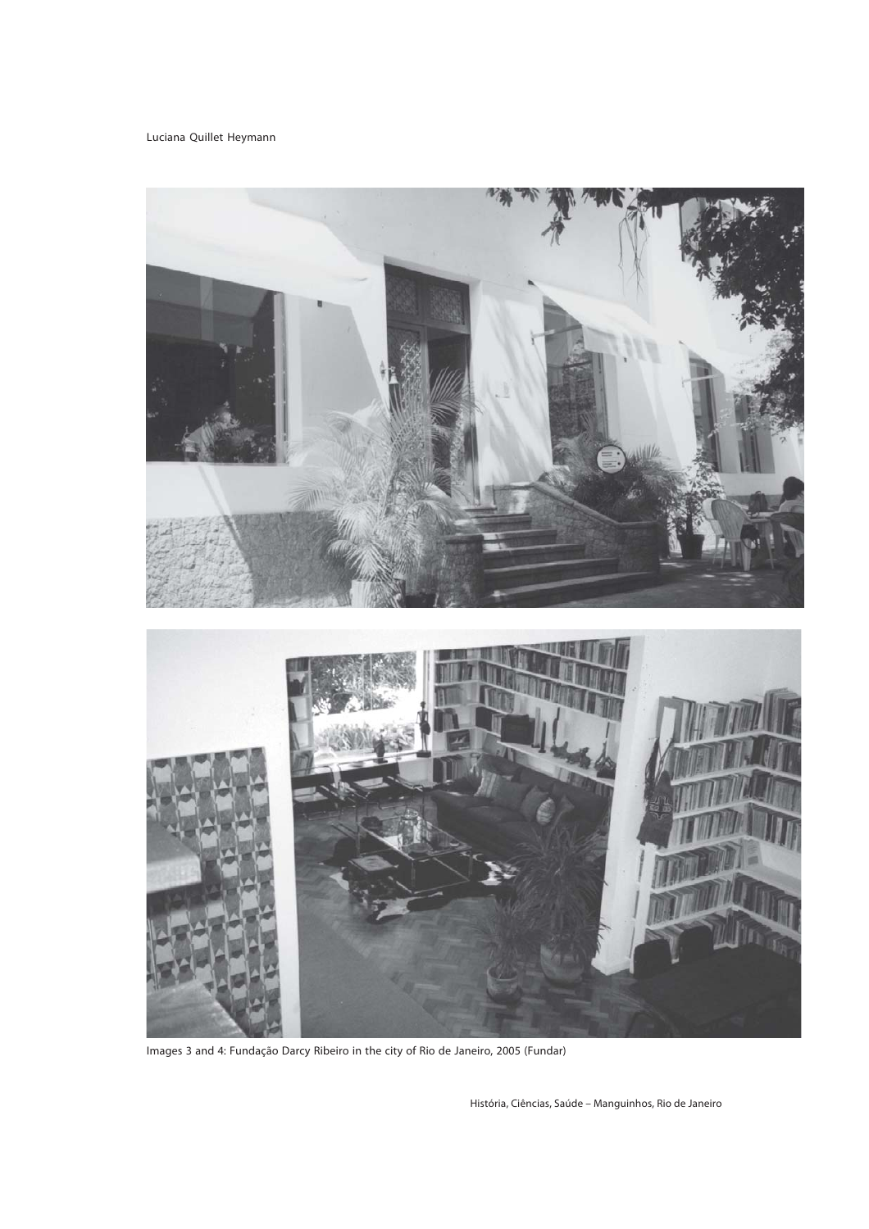

Images 3 and 4: Fundação Darcy Ribeiro in the city of Rio de Janeiro, 2005 (Fundar)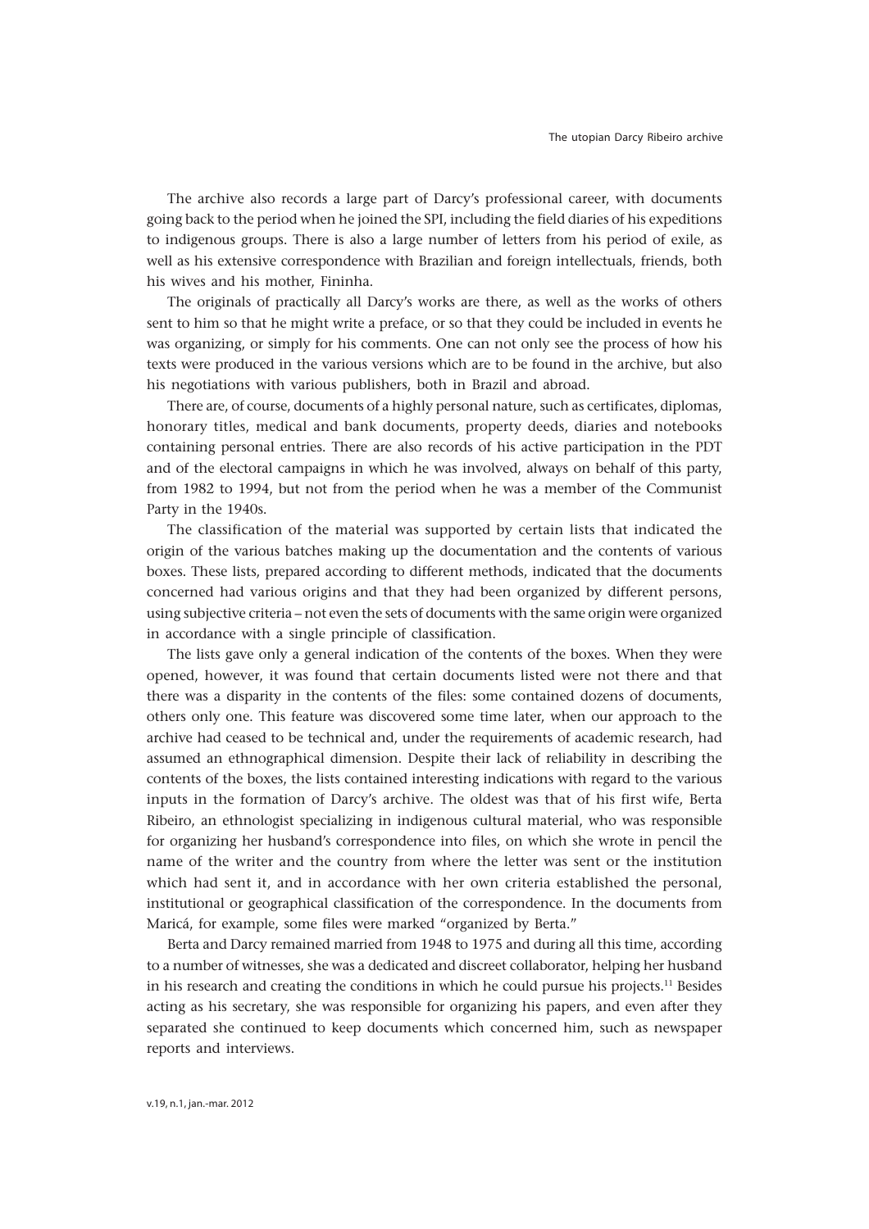The archive also records a large part of Darcy's professional career, with documents going back to the period when he joined the SPI, including the field diaries of his expeditions to indigenous groups. There is also a large number of letters from his period of exile, as well as his extensive correspondence with Brazilian and foreign intellectuals, friends, both his wives and his mother, Fininha.

The originals of practically all Darcy's works are there, as well as the works of others sent to him so that he might write a preface, or so that they could be included in events he was organizing, or simply for his comments. One can not only see the process of how his texts were produced in the various versions which are to be found in the archive, but also his negotiations with various publishers, both in Brazil and abroad.

There are, of course, documents of a highly personal nature, such as certificates, diplomas, honorary titles, medical and bank documents, property deeds, diaries and notebooks containing personal entries. There are also records of his active participation in the PDT and of the electoral campaigns in which he was involved, always on behalf of this party, from 1982 to 1994, but not from the period when he was a member of the Communist Party in the 1940s.

The classification of the material was supported by certain lists that indicated the origin of the various batches making up the documentation and the contents of various boxes. These lists, prepared according to different methods, indicated that the documents concerned had various origins and that they had been organized by different persons, using subjective criteria – not even the sets of documents with the same origin were organized in accordance with a single principle of classification.

The lists gave only a general indication of the contents of the boxes. When they were opened, however, it was found that certain documents listed were not there and that there was a disparity in the contents of the files: some contained dozens of documents, others only one. This feature was discovered some time later, when our approach to the archive had ceased to be technical and, under the requirements of academic research, had assumed an ethnographical dimension. Despite their lack of reliability in describing the contents of the boxes, the lists contained interesting indications with regard to the various inputs in the formation of Darcy's archive. The oldest was that of his first wife, Berta Ribeiro, an ethnologist specializing in indigenous cultural material, who was responsible for organizing her husband's correspondence into files, on which she wrote in pencil the name of the writer and the country from where the letter was sent or the institution which had sent it, and in accordance with her own criteria established the personal, institutional or geographical classification of the correspondence. In the documents from Maricá, for example, some files were marked "organized by Berta."

Berta and Darcy remained married from 1948 to 1975 and during all this time, according to a number of witnesses, she was a dedicated and discreet collaborator, helping her husband in his research and creating the conditions in which he could pursue his projects.11 Besides acting as his secretary, she was responsible for organizing his papers, and even after they separated she continued to keep documents which concerned him, such as newspaper reports and interviews.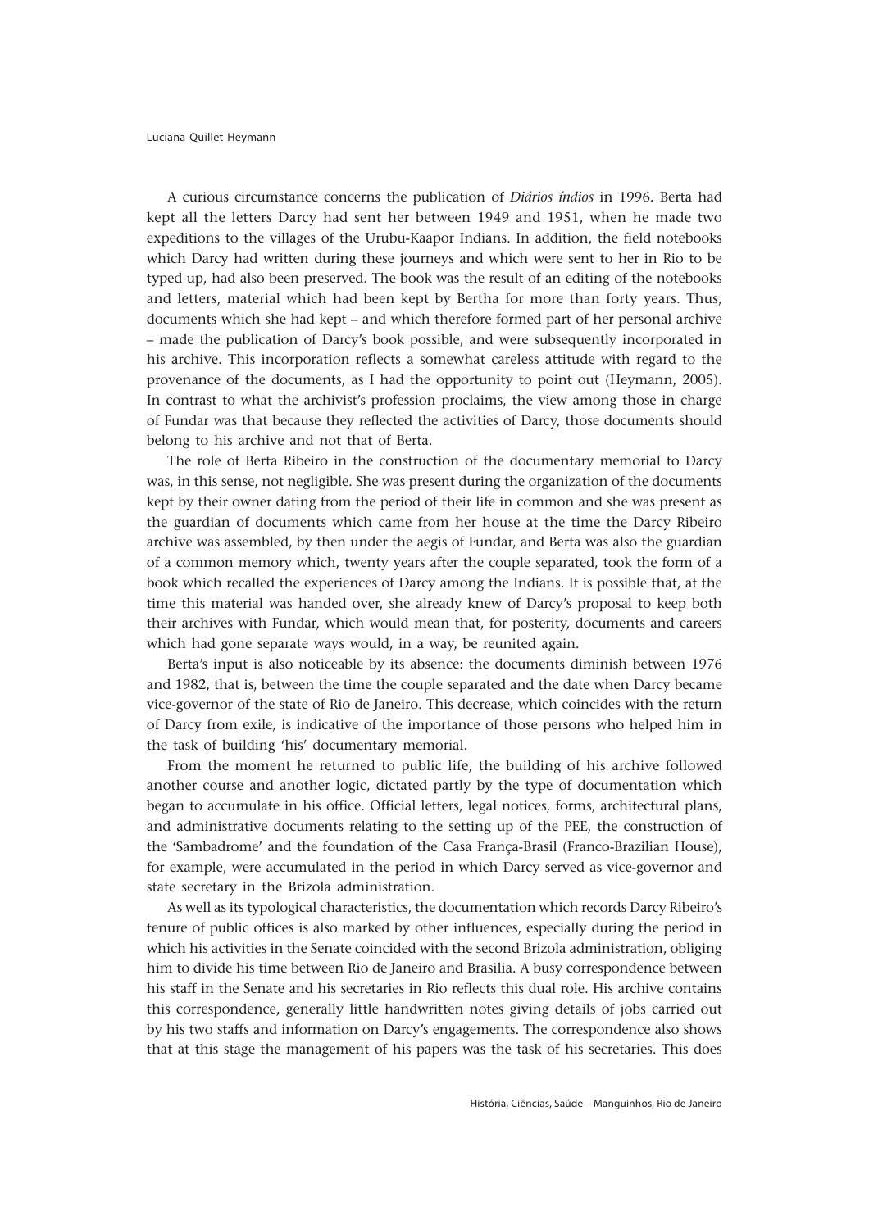A curious circumstance concerns the publication of *Diários índios* in 1996. Berta had kept all the letters Darcy had sent her between 1949 and 1951, when he made two expeditions to the villages of the Urubu-Kaapor Indians. In addition, the field notebooks which Darcy had written during these journeys and which were sent to her in Rio to be typed up, had also been preserved. The book was the result of an editing of the notebooks and letters, material which had been kept by Bertha for more than forty years. Thus, documents which she had kept – and which therefore formed part of her personal archive – made the publication of Darcy's book possible, and were subsequently incorporated in his archive. This incorporation reflects a somewhat careless attitude with regard to the provenance of the documents, as I had the opportunity to point out (Heymann, 2005). In contrast to what the archivist's profession proclaims, the view among those in charge of Fundar was that because they reflected the activities of Darcy, those documents should belong to his archive and not that of Berta.

The role of Berta Ribeiro in the construction of the documentary memorial to Darcy was, in this sense, not negligible. She was present during the organization of the documents kept by their owner dating from the period of their life in common and she was present as the guardian of documents which came from her house at the time the Darcy Ribeiro archive was assembled, by then under the aegis of Fundar, and Berta was also the guardian of a common memory which, twenty years after the couple separated, took the form of a book which recalled the experiences of Darcy among the Indians. It is possible that, at the time this material was handed over, she already knew of Darcy's proposal to keep both their archives with Fundar, which would mean that, for posterity, documents and careers which had gone separate ways would, in a way, be reunited again.

Berta's input is also noticeable by its absence: the documents diminish between 1976 and 1982, that is, between the time the couple separated and the date when Darcy became vice-governor of the state of Rio de Janeiro. This decrease, which coincides with the return of Darcy from exile, is indicative of the importance of those persons who helped him in the task of building 'his' documentary memorial.

From the moment he returned to public life, the building of his archive followed another course and another logic, dictated partly by the type of documentation which began to accumulate in his office. Official letters, legal notices, forms, architectural plans, and administrative documents relating to the setting up of the PEE, the construction of the 'Sambadrome' and the foundation of the Casa França-Brasil (Franco-Brazilian House), for example, were accumulated in the period in which Darcy served as vice-governor and state secretary in the Brizola administration.

As well as its typological characteristics, the documentation which records Darcy Ribeiro's tenure of public offices is also marked by other influences, especially during the period in which his activities in the Senate coincided with the second Brizola administration, obliging him to divide his time between Rio de Janeiro and Brasilia. A busy correspondence between his staff in the Senate and his secretaries in Rio reflects this dual role. His archive contains this correspondence, generally little handwritten notes giving details of jobs carried out by his two staffs and information on Darcy's engagements. The correspondence also shows that at this stage the management of his papers was the task of his secretaries. This does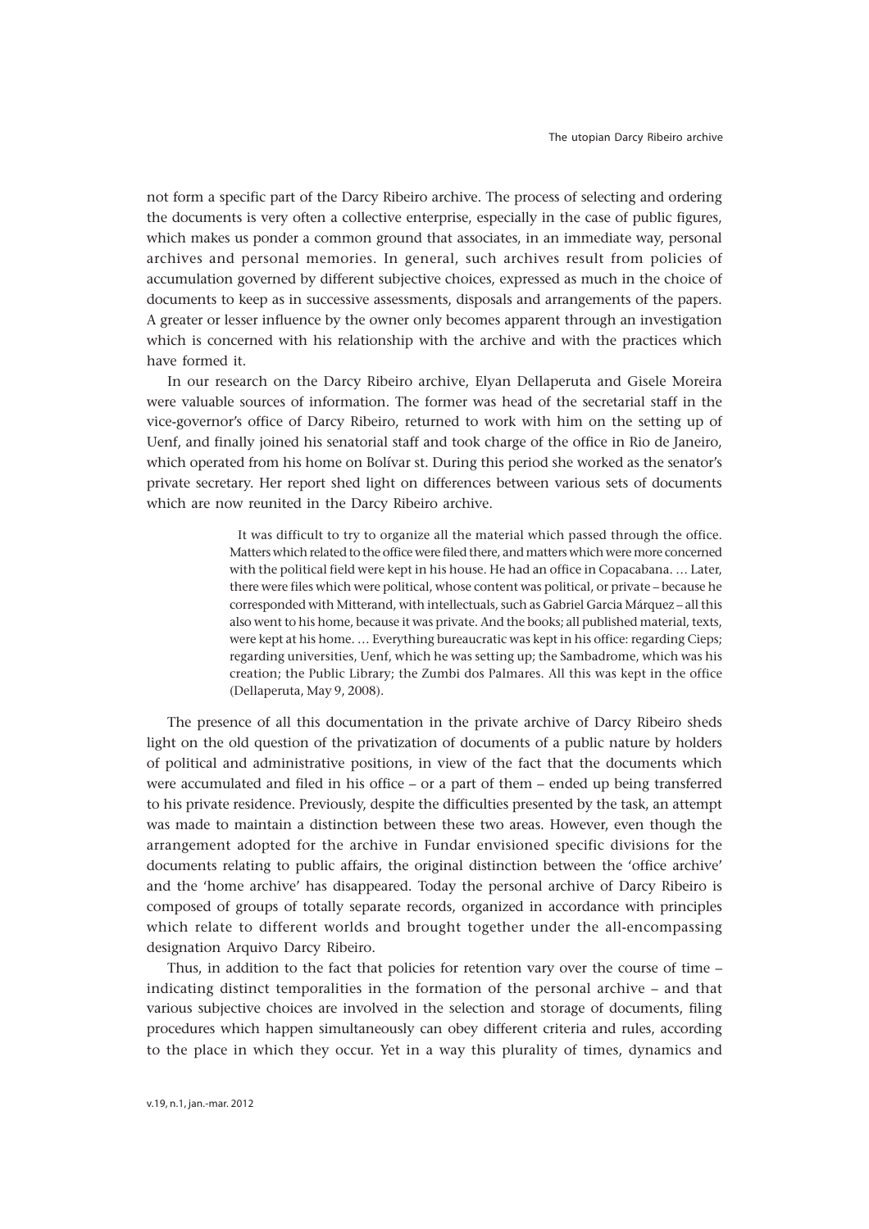not form a specific part of the Darcy Ribeiro archive. The process of selecting and ordering the documents is very often a collective enterprise, especially in the case of public figures, which makes us ponder a common ground that associates, in an immediate way, personal archives and personal memories. In general, such archives result from policies of accumulation governed by different subjective choices, expressed as much in the choice of documents to keep as in successive assessments, disposals and arrangements of the papers. A greater or lesser influence by the owner only becomes apparent through an investigation which is concerned with his relationship with the archive and with the practices which have formed it.

In our research on the Darcy Ribeiro archive, Elyan Dellaperuta and Gisele Moreira were valuable sources of information. The former was head of the secretarial staff in the vice-governor's office of Darcy Ribeiro, returned to work with him on the setting up of Uenf, and finally joined his senatorial staff and took charge of the office in Rio de Janeiro, which operated from his home on Bolívar st. During this period she worked as the senator's private secretary. Her report shed light on differences between various sets of documents which are now reunited in the Darcy Ribeiro archive.

> It was difficult to try to organize all the material which passed through the office. Matters which related to the office were filed there, and matters which were more concerned with the political field were kept in his house. He had an office in Copacabana. … Later, there were files which were political, whose content was political, or private – because he corresponded with Mitterand, with intellectuals, such as Gabriel Garcia Márquez – all this also went to his home, because it was private. And the books; all published material, texts, were kept at his home. … Everything bureaucratic was kept in his office: regarding Cieps; regarding universities, Uenf, which he was setting up; the Sambadrome, which was his creation; the Public Library; the Zumbi dos Palmares. All this was kept in the office (Dellaperuta, May 9, 2008).

The presence of all this documentation in the private archive of Darcy Ribeiro sheds light on the old question of the privatization of documents of a public nature by holders of political and administrative positions, in view of the fact that the documents which were accumulated and filed in his office – or a part of them – ended up being transferred to his private residence. Previously, despite the difficulties presented by the task, an attempt was made to maintain a distinction between these two areas. However, even though the arrangement adopted for the archive in Fundar envisioned specific divisions for the documents relating to public affairs, the original distinction between the 'office archive' and the 'home archive' has disappeared. Today the personal archive of Darcy Ribeiro is composed of groups of totally separate records, organized in accordance with principles which relate to different worlds and brought together under the all-encompassing designation Arquivo Darcy Ribeiro.

Thus, in addition to the fact that policies for retention vary over the course of time – indicating distinct temporalities in the formation of the personal archive – and that various subjective choices are involved in the selection and storage of documents, filing procedures which happen simultaneously can obey different criteria and rules, according to the place in which they occur. Yet in a way this plurality of times, dynamics and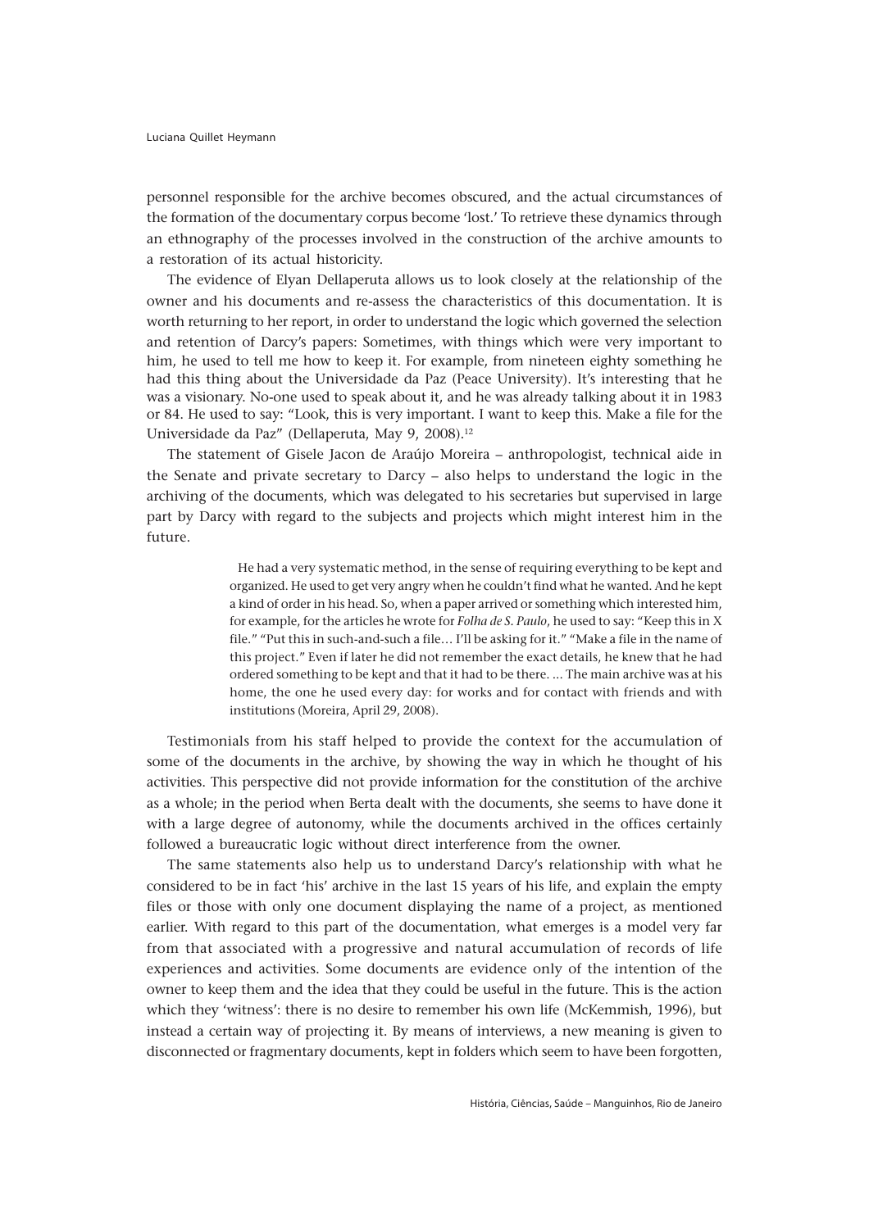personnel responsible for the archive becomes obscured, and the actual circumstances of the formation of the documentary corpus become 'lost.' To retrieve these dynamics through an ethnography of the processes involved in the construction of the archive amounts to a restoration of its actual historicity.

The evidence of Elyan Dellaperuta allows us to look closely at the relationship of the owner and his documents and re-assess the characteristics of this documentation. It is worth returning to her report, in order to understand the logic which governed the selection and retention of Darcy's papers: Sometimes, with things which were very important to him, he used to tell me how to keep it. For example, from nineteen eighty something he had this thing about the Universidade da Paz (Peace University). It's interesting that he was a visionary. No-one used to speak about it, and he was already talking about it in 1983 or 84. He used to say: "Look, this is very important. I want to keep this. Make a file for the Universidade da Paz" (Dellaperuta, May 9, 2008).<sup>12</sup>

The statement of Gisele Jacon de Araújo Moreira – anthropologist, technical aide in the Senate and private secretary to Darcy – also helps to understand the logic in the archiving of the documents, which was delegated to his secretaries but supervised in large part by Darcy with regard to the subjects and projects which might interest him in the future.

> He had a very systematic method, in the sense of requiring everything to be kept and organized. He used to get very angry when he couldn't find what he wanted. And he kept a kind of order in his head. So, when a paper arrived or something which interested him, for example, for the articles he wrote for *Folha de S. Paulo*, he used to say: "Keep this in X file." "Put this in such-and-such a file… I'll be asking for it." "Make a file in the name of this project." Even if later he did not remember the exact details, he knew that he had ordered something to be kept and that it had to be there. ... The main archive was at his home, the one he used every day: for works and for contact with friends and with institutions (Moreira, April 29, 2008).

Testimonials from his staff helped to provide the context for the accumulation of some of the documents in the archive, by showing the way in which he thought of his activities. This perspective did not provide information for the constitution of the archive as a whole; in the period when Berta dealt with the documents, she seems to have done it with a large degree of autonomy, while the documents archived in the offices certainly followed a bureaucratic logic without direct interference from the owner.

The same statements also help us to understand Darcy's relationship with what he considered to be in fact 'his' archive in the last 15 years of his life, and explain the empty files or those with only one document displaying the name of a project, as mentioned earlier. With regard to this part of the documentation, what emerges is a model very far from that associated with a progressive and natural accumulation of records of life experiences and activities. Some documents are evidence only of the intention of the owner to keep them and the idea that they could be useful in the future. This is the action which they 'witness': there is no desire to remember his own life (McKemmish, 1996), but instead a certain way of projecting it. By means of interviews, a new meaning is given to disconnected or fragmentary documents, kept in folders which seem to have been forgotten,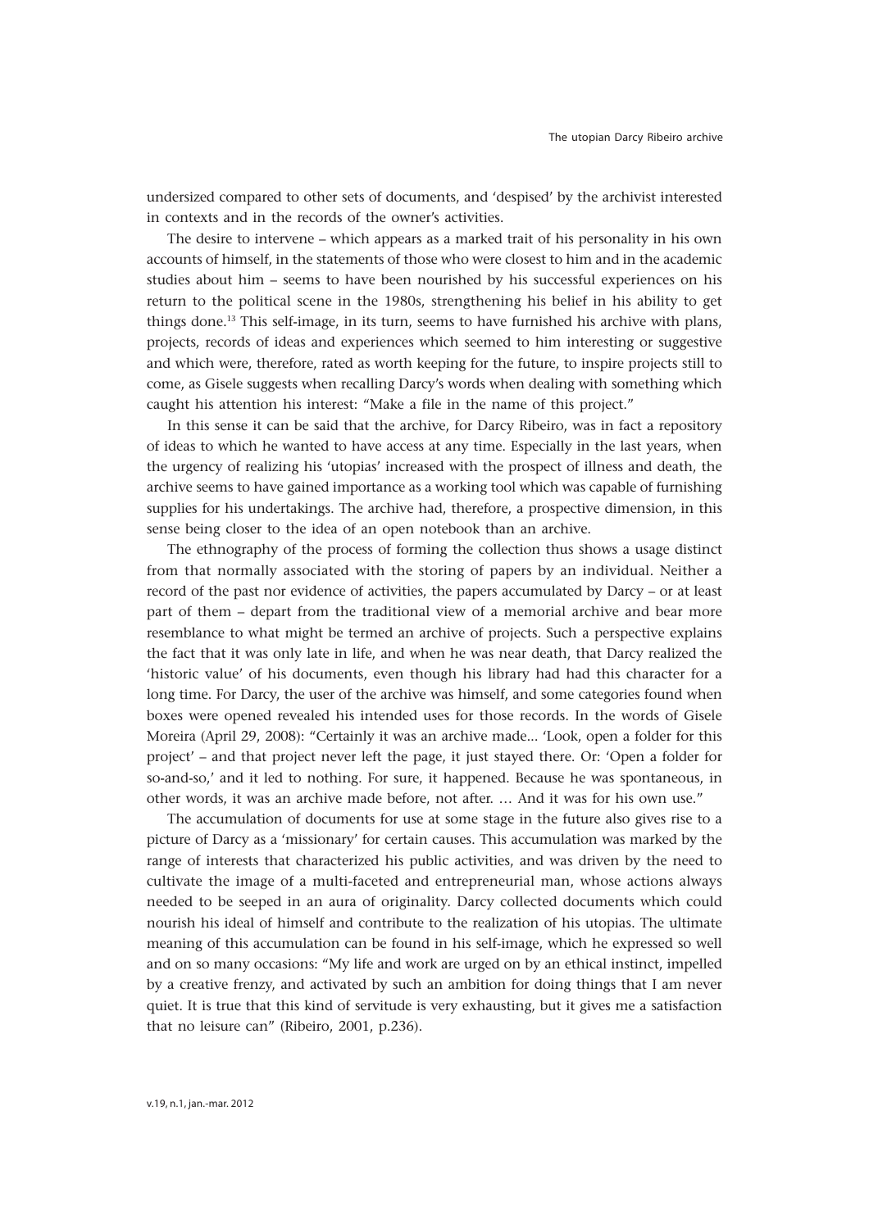undersized compared to other sets of documents, and 'despised' by the archivist interested in contexts and in the records of the owner's activities.

The desire to intervene – which appears as a marked trait of his personality in his own accounts of himself, in the statements of those who were closest to him and in the academic studies about him – seems to have been nourished by his successful experiences on his return to the political scene in the 1980s, strengthening his belief in his ability to get things done.13 This self-image, in its turn, seems to have furnished his archive with plans, projects, records of ideas and experiences which seemed to him interesting or suggestive and which were, therefore, rated as worth keeping for the future, to inspire projects still to come, as Gisele suggests when recalling Darcy's words when dealing with something which caught his attention his interest: "Make a file in the name of this project."

In this sense it can be said that the archive, for Darcy Ribeiro, was in fact a repository of ideas to which he wanted to have access at any time. Especially in the last years, when the urgency of realizing his 'utopias' increased with the prospect of illness and death, the archive seems to have gained importance as a working tool which was capable of furnishing supplies for his undertakings. The archive had, therefore, a prospective dimension, in this sense being closer to the idea of an open notebook than an archive.

The ethnography of the process of forming the collection thus shows a usage distinct from that normally associated with the storing of papers by an individual. Neither a record of the past nor evidence of activities, the papers accumulated by Darcy – or at least part of them – depart from the traditional view of a memorial archive and bear more resemblance to what might be termed an archive of projects. Such a perspective explains the fact that it was only late in life, and when he was near death, that Darcy realized the 'historic value' of his documents, even though his library had had this character for a long time. For Darcy, the user of the archive was himself, and some categories found when boxes were opened revealed his intended uses for those records. In the words of Gisele Moreira (April 29, 2008): "Certainly it was an archive made... 'Look, open a folder for this project' – and that project never left the page, it just stayed there. Or: 'Open a folder for so-and-so,' and it led to nothing. For sure, it happened. Because he was spontaneous, in other words, it was an archive made before, not after. … And it was for his own use."

The accumulation of documents for use at some stage in the future also gives rise to a picture of Darcy as a 'missionary' for certain causes. This accumulation was marked by the range of interests that characterized his public activities, and was driven by the need to cultivate the image of a multi-faceted and entrepreneurial man, whose actions always needed to be seeped in an aura of originality. Darcy collected documents which could nourish his ideal of himself and contribute to the realization of his utopias. The ultimate meaning of this accumulation can be found in his self-image, which he expressed so well and on so many occasions: "My life and work are urged on by an ethical instinct, impelled by a creative frenzy, and activated by such an ambition for doing things that I am never quiet. It is true that this kind of servitude is very exhausting, but it gives me a satisfaction that no leisure can" (Ribeiro, 2001, p.236).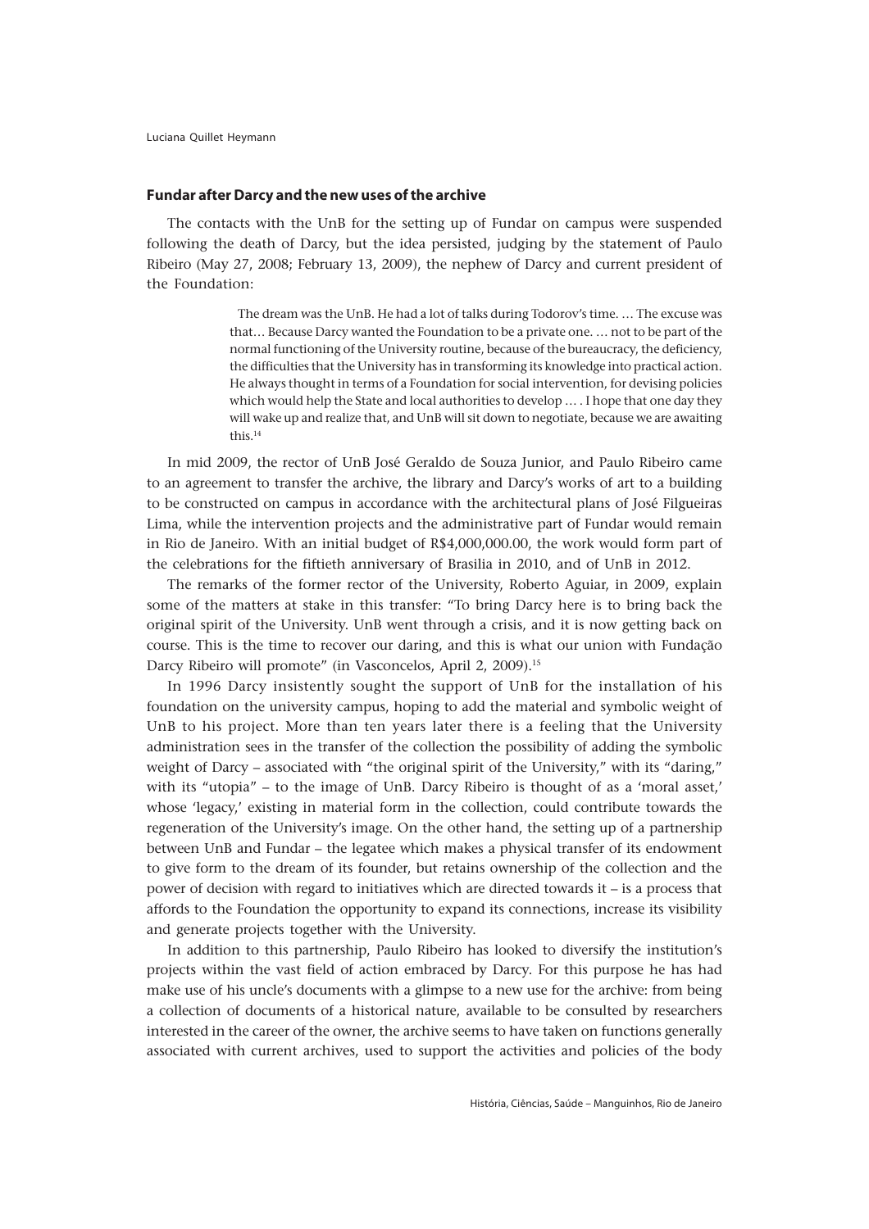### **Fundar after Darcy and the new uses of the archive**

The contacts with the UnB for the setting up of Fundar on campus were suspended following the death of Darcy, but the idea persisted, judging by the statement of Paulo Ribeiro (May 27, 2008; February 13, 2009), the nephew of Darcy and current president of the Foundation:

> The dream was the UnB. He had a lot of talks during Todorov's time. … The excuse was that… Because Darcy wanted the Foundation to be a private one. … not to be part of the normal functioning of the University routine, because of the bureaucracy, the deficiency, the difficulties that the University has in transforming its knowledge into practical action. He always thought in terms of a Foundation for social intervention, for devising policies which would help the State and local authorities to develop … . I hope that one day they will wake up and realize that, and UnB will sit down to negotiate, because we are awaiting this.14

In mid 2009, the rector of UnB José Geraldo de Souza Junior, and Paulo Ribeiro came to an agreement to transfer the archive, the library and Darcy's works of art to a building to be constructed on campus in accordance with the architectural plans of José Filgueiras Lima, while the intervention projects and the administrative part of Fundar would remain in Rio de Janeiro. With an initial budget of R\$4,000,000.00, the work would form part of the celebrations for the fiftieth anniversary of Brasilia in 2010, and of UnB in 2012.

The remarks of the former rector of the University, Roberto Aguiar, in 2009, explain some of the matters at stake in this transfer: "To bring Darcy here is to bring back the original spirit of the University. UnB went through a crisis, and it is now getting back on course. This is the time to recover our daring, and this is what our union with Fundação Darcy Ribeiro will promote" (in Vasconcelos, April 2, 2009).15

In 1996 Darcy insistently sought the support of UnB for the installation of his foundation on the university campus, hoping to add the material and symbolic weight of UnB to his project. More than ten years later there is a feeling that the University administration sees in the transfer of the collection the possibility of adding the symbolic weight of Darcy – associated with "the original spirit of the University," with its "daring," with its "utopia" – to the image of UnB. Darcy Ribeiro is thought of as a 'moral asset,' whose 'legacy,' existing in material form in the collection, could contribute towards the regeneration of the University's image. On the other hand, the setting up of a partnership between UnB and Fundar – the legatee which makes a physical transfer of its endowment to give form to the dream of its founder, but retains ownership of the collection and the power of decision with regard to initiatives which are directed towards it – is a process that affords to the Foundation the opportunity to expand its connections, increase its visibility and generate projects together with the University.

In addition to this partnership, Paulo Ribeiro has looked to diversify the institution's projects within the vast field of action embraced by Darcy. For this purpose he has had make use of his uncle's documents with a glimpse to a new use for the archive: from being a collection of documents of a historical nature, available to be consulted by researchers interested in the career of the owner, the archive seems to have taken on functions generally associated with current archives, used to support the activities and policies of the body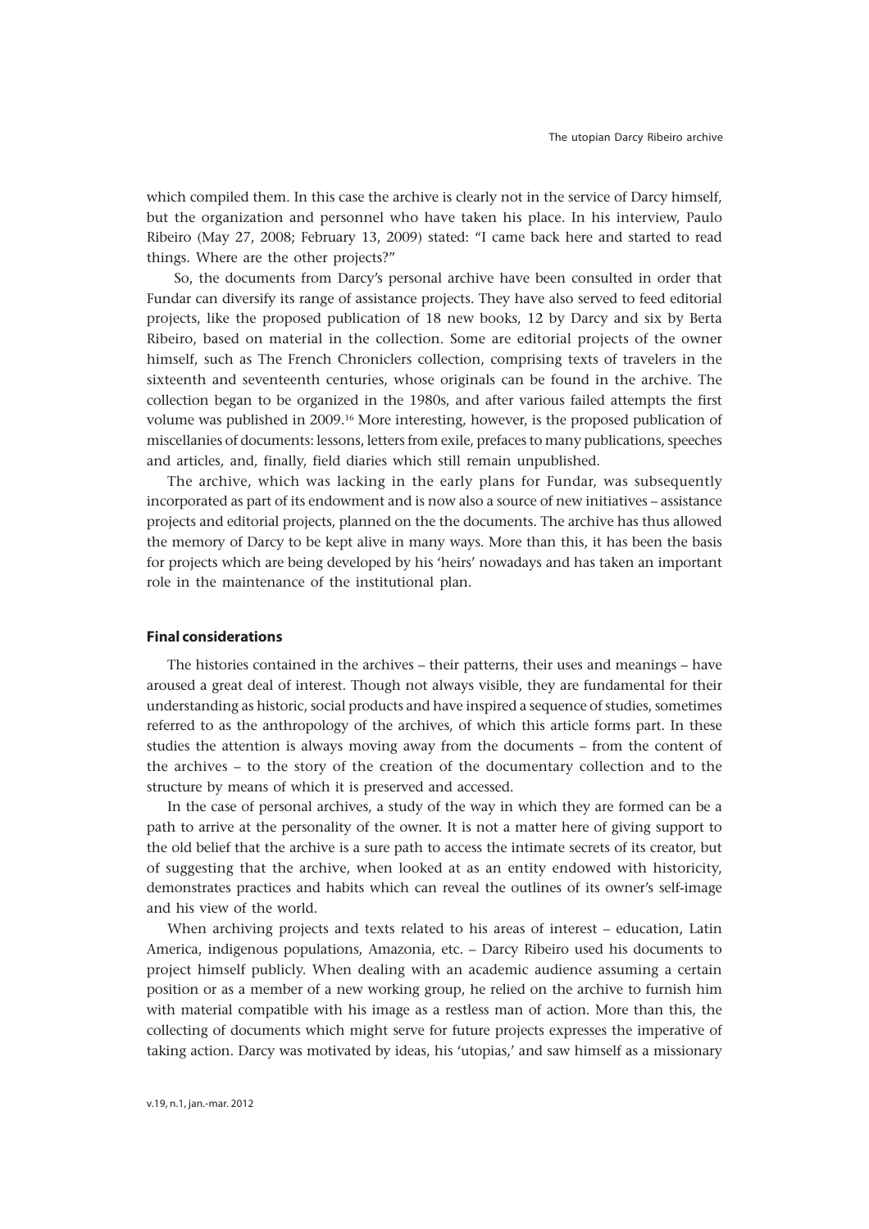which compiled them. In this case the archive is clearly not in the service of Darcy himself, but the organization and personnel who have taken his place. In his interview, Paulo Ribeiro (May 27, 2008; February 13, 2009) stated: "I came back here and started to read things. Where are the other projects?"

So, the documents from Darcy's personal archive have been consulted in order that Fundar can diversify its range of assistance projects. They have also served to feed editorial projects, like the proposed publication of 18 new books, 12 by Darcy and six by Berta Ribeiro, based on material in the collection. Some are editorial projects of the owner himself, such as The French Chroniclers collection, comprising texts of travelers in the sixteenth and seventeenth centuries, whose originals can be found in the archive. The collection began to be organized in the 1980s, and after various failed attempts the first volume was published in 2009.16 More interesting, however, is the proposed publication of miscellanies of documents: lessons, letters from exile, prefaces to many publications, speeches and articles, and, finally, field diaries which still remain unpublished.

The archive, which was lacking in the early plans for Fundar, was subsequently incorporated as part of its endowment and is now also a source of new initiatives – assistance projects and editorial projects, planned on the the documents. The archive has thus allowed the memory of Darcy to be kept alive in many ways. More than this, it has been the basis for projects which are being developed by his 'heirs' nowadays and has taken an important role in the maintenance of the institutional plan.

# **Final considerations**

The histories contained in the archives – their patterns, their uses and meanings – have aroused a great deal of interest. Though not always visible, they are fundamental for their understanding as historic, social products and have inspired a sequence of studies, sometimes referred to as the anthropology of the archives, of which this article forms part. In these studies the attention is always moving away from the documents – from the content of the archives – to the story of the creation of the documentary collection and to the structure by means of which it is preserved and accessed.

In the case of personal archives, a study of the way in which they are formed can be a path to arrive at the personality of the owner. It is not a matter here of giving support to the old belief that the archive is a sure path to access the intimate secrets of its creator, but of suggesting that the archive, when looked at as an entity endowed with historicity, demonstrates practices and habits which can reveal the outlines of its owner's self-image and his view of the world.

When archiving projects and texts related to his areas of interest – education, Latin America, indigenous populations, Amazonia, etc. – Darcy Ribeiro used his documents to project himself publicly. When dealing with an academic audience assuming a certain position or as a member of a new working group, he relied on the archive to furnish him with material compatible with his image as a restless man of action. More than this, the collecting of documents which might serve for future projects expresses the imperative of taking action. Darcy was motivated by ideas, his 'utopias,' and saw himself as a missionary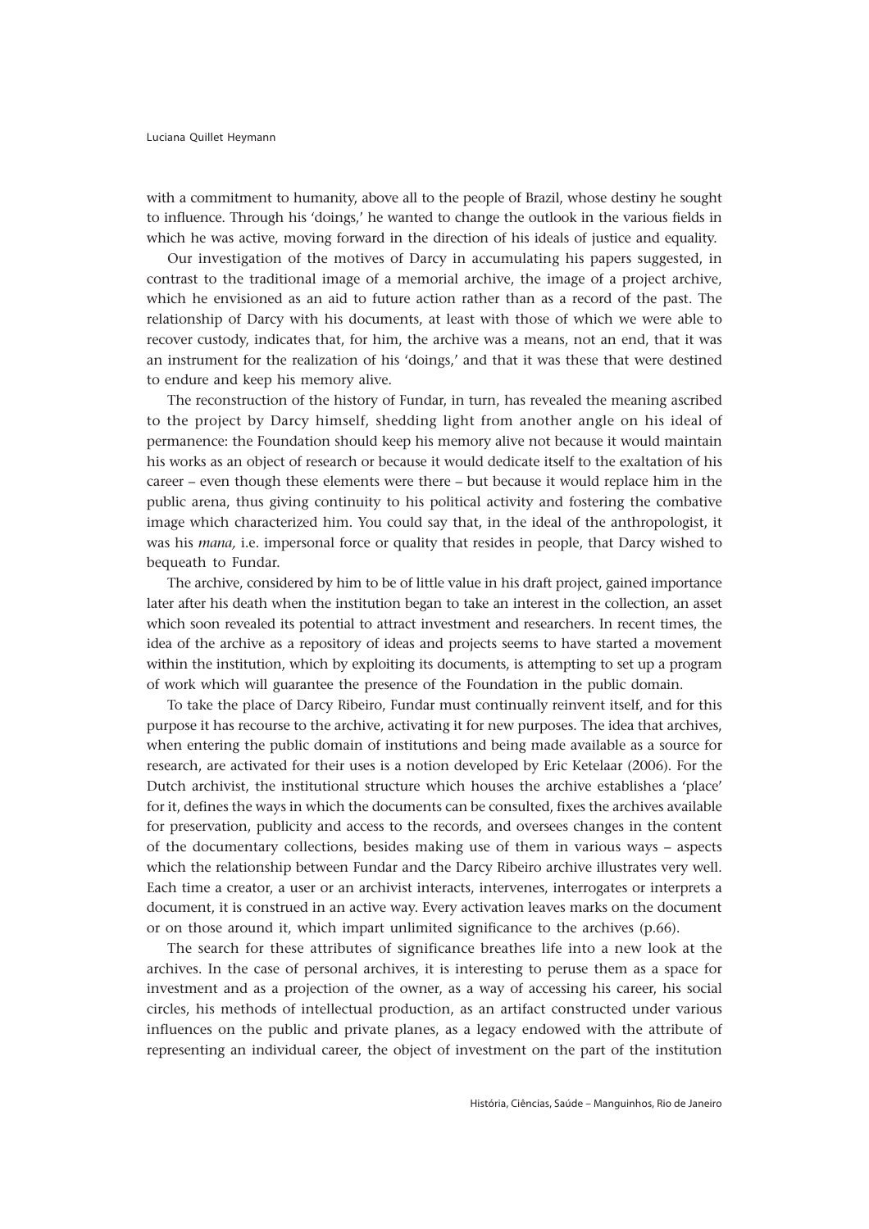with a commitment to humanity, above all to the people of Brazil, whose destiny he sought to influence. Through his 'doings,' he wanted to change the outlook in the various fields in which he was active, moving forward in the direction of his ideals of justice and equality.

Our investigation of the motives of Darcy in accumulating his papers suggested, in contrast to the traditional image of a memorial archive, the image of a project archive, which he envisioned as an aid to future action rather than as a record of the past. The relationship of Darcy with his documents, at least with those of which we were able to recover custody, indicates that, for him, the archive was a means, not an end, that it was an instrument for the realization of his 'doings,' and that it was these that were destined to endure and keep his memory alive.

The reconstruction of the history of Fundar, in turn, has revealed the meaning ascribed to the project by Darcy himself, shedding light from another angle on his ideal of permanence: the Foundation should keep his memory alive not because it would maintain his works as an object of research or because it would dedicate itself to the exaltation of his career – even though these elements were there – but because it would replace him in the public arena, thus giving continuity to his political activity and fostering the combative image which characterized him. You could say that, in the ideal of the anthropologist, it was his *mana,* i.e. impersonal force or quality that resides in people, that Darcy wished to bequeath to Fundar.

The archive, considered by him to be of little value in his draft project, gained importance later after his death when the institution began to take an interest in the collection, an asset which soon revealed its potential to attract investment and researchers. In recent times, the idea of the archive as a repository of ideas and projects seems to have started a movement within the institution, which by exploiting its documents, is attempting to set up a program of work which will guarantee the presence of the Foundation in the public domain.

To take the place of Darcy Ribeiro, Fundar must continually reinvent itself, and for this purpose it has recourse to the archive, activating it for new purposes. The idea that archives, when entering the public domain of institutions and being made available as a source for research, are activated for their uses is a notion developed by Eric Ketelaar (2006). For the Dutch archivist, the institutional structure which houses the archive establishes a 'place' for it, defines the ways in which the documents can be consulted, fixes the archives available for preservation, publicity and access to the records, and oversees changes in the content of the documentary collections, besides making use of them in various ways – aspects which the relationship between Fundar and the Darcy Ribeiro archive illustrates very well. Each time a creator, a user or an archivist interacts, intervenes, interrogates or interprets a document, it is construed in an active way. Every activation leaves marks on the document or on those around it, which impart unlimited significance to the archives (p.66).

The search for these attributes of significance breathes life into a new look at the archives. In the case of personal archives, it is interesting to peruse them as a space for investment and as a projection of the owner, as a way of accessing his career, his social circles, his methods of intellectual production, as an artifact constructed under various influences on the public and private planes, as a legacy endowed with the attribute of representing an individual career, the object of investment on the part of the institution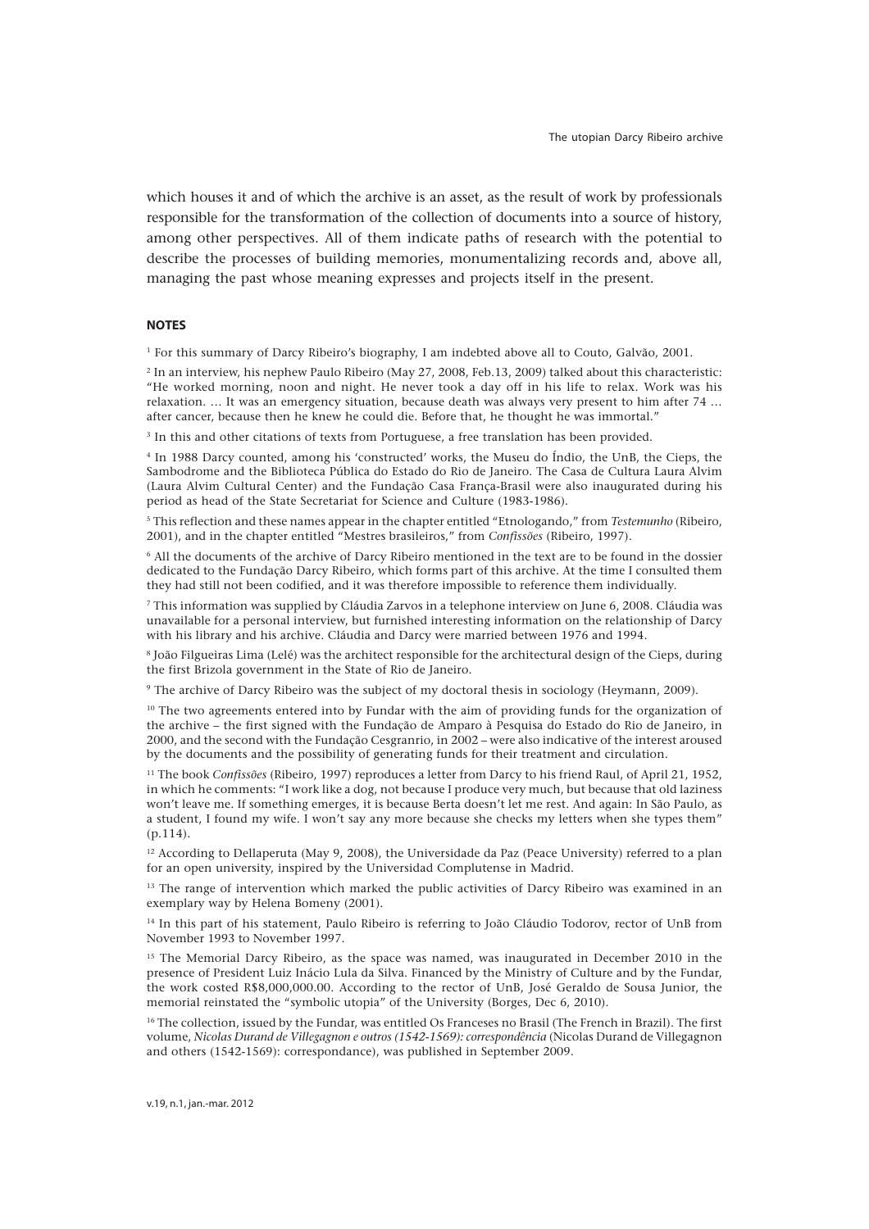which houses it and of which the archive is an asset, as the result of work by professionals responsible for the transformation of the collection of documents into a source of history, among other perspectives. All of them indicate paths of research with the potential to describe the processes of building memories, monumentalizing records and, above all, managing the past whose meaning expresses and projects itself in the present.

#### **NOTES**

1 For this summary of Darcy Ribeiro's biography, I am indebted above all to Couto, Galvão, 2001.

2 In an interview, his nephew Paulo Ribeiro (May 27, 2008, Feb.13, 2009) talked about this characteristic: "He worked morning, noon and night. He never took a day off in his life to relax. Work was his relaxation. … It was an emergency situation, because death was always very present to him after 74 … after cancer, because then he knew he could die. Before that, he thought he was immortal."

<sup>3</sup> In this and other citations of texts from Portuguese, a free translation has been provided.

4 In 1988 Darcy counted, among his 'constructed' works, the Museu do Índio, the UnB, the Cieps, the Sambodrome and the Biblioteca Pública do Estado do Rio de Janeiro. The Casa de Cultura Laura Alvim (Laura Alvim Cultural Center) and the Fundação Casa França-Brasil were also inaugurated during his period as head of the State Secretariat for Science and Culture (1983-1986).

5 This reflection and these names appear in the chapter entitled "Etnologando," from *Testemunho* (Ribeiro, 2001), and in the chapter entitled "Mestres brasileiros," from *Confissões* (Ribeiro, 1997).

6 All the documents of the archive of Darcy Ribeiro mentioned in the text are to be found in the dossier dedicated to the Fundação Darcy Ribeiro, which forms part of this archive. At the time I consulted them they had still not been codified, and it was therefore impossible to reference them individually.

7 This information was supplied by Cláudia Zarvos in a telephone interview on June 6, 2008. Cláudia was unavailable for a personal interview, but furnished interesting information on the relationship of Darcy with his library and his archive. Cláudia and Darcy were married between 1976 and 1994.

8 João Filgueiras Lima (Lelé) was the architect responsible for the architectural design of the Cieps, during the first Brizola government in the State of Rio de Janeiro.

9 The archive of Darcy Ribeiro was the subject of my doctoral thesis in sociology (Heymann, 2009).

<sup>10</sup> The two agreements entered into by Fundar with the aim of providing funds for the organization of the archive – the first signed with the Fundação de Amparo à Pesquisa do Estado do Rio de Janeiro, in 2000, and the second with the Fundação Cesgranrio, in 2002 – were also indicative of the interest aroused by the documents and the possibility of generating funds for their treatment and circulation.

11 The book *Confissões* (Ribeiro, 1997) reproduces a letter from Darcy to his friend Raul, of April 21, 1952, in which he comments: "I work like a dog, not because I produce very much, but because that old laziness won't leave me. If something emerges, it is because Berta doesn't let me rest. And again: In São Paulo, as a student, I found my wife. I won't say any more because she checks my letters when she types them" (p.114).

12 According to Dellaperuta (May 9, 2008), the Universidade da Paz (Peace University) referred to a plan for an open university, inspired by the Universidad Complutense in Madrid.

<sup>13</sup> The range of intervention which marked the public activities of Darcy Ribeiro was examined in an exemplary way by Helena Bomeny (2001).

14 In this part of his statement, Paulo Ribeiro is referring to João Cláudio Todorov, rector of UnB from November 1993 to November 1997.

<sup>15</sup> The Memorial Darcy Ribeiro, as the space was named, was inaugurated in December 2010 in the presence of President Luiz Inácio Lula da Silva. Financed by the Ministry of Culture and by the Fundar, the work costed R\$8,000,000.00. According to the rector of UnB, José Geraldo de Sousa Junior, the memorial reinstated the "symbolic utopia" of the University (Borges, Dec 6, 2010).

<sup>16</sup> The collection, issued by the Fundar, was entitled Os Franceses no Brasil (The French in Brazil). The first volume, *Nicolas Durand de Villegagnon e outros (1542-1569): correspondência* (Nicolas Durand de Villegagnon and others (1542-1569): correspondance), was published in September 2009.